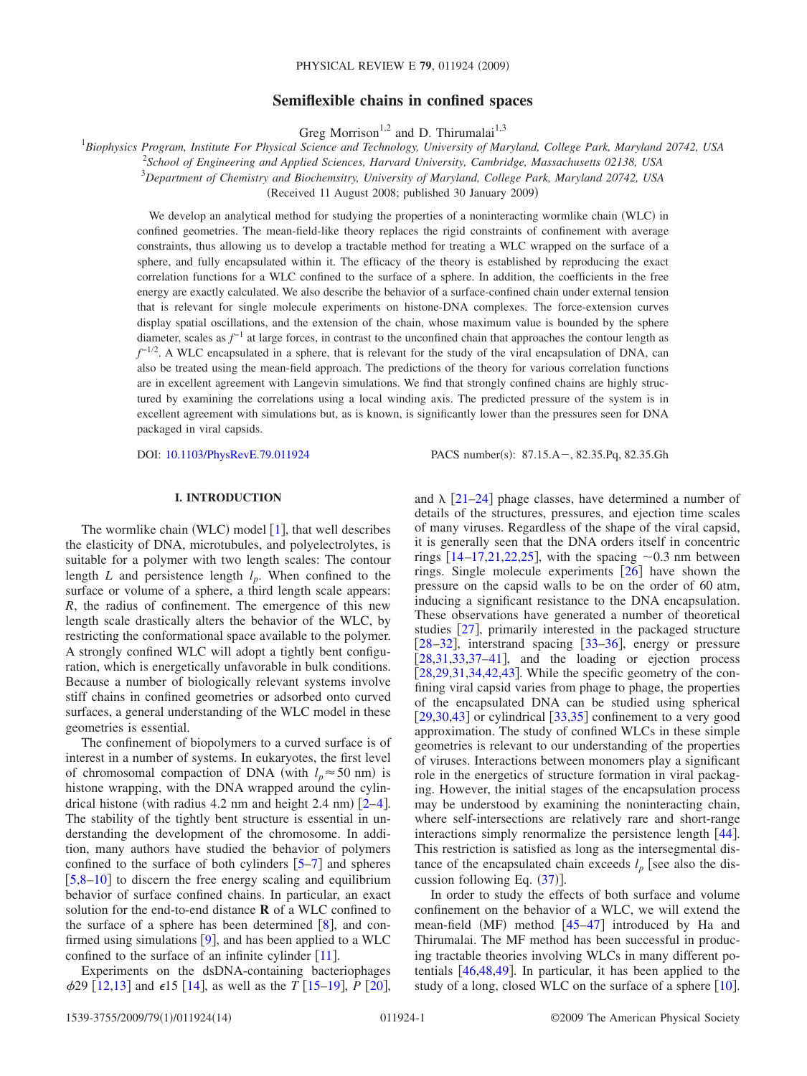# **Semiflexible chains in confined spaces**

Greg Morrison<sup>1,2</sup> and D. Thirumalai<sup>1,3</sup>

 *Biophysics Program, Institute For Physical Science and Technology, University of Maryland, College Park, Maryland 20742, USA School of Engineering and Applied Sciences, Harvard University, Cambridge, Massachusetts 02138, USA Department of Chemistry and Biochemsitry, University of Maryland, College Park, Maryland 20742, USA* (Received 11 August 2008; published 30 January 2009)

We develop an analytical method for studying the properties of a noninteracting wormlike chain (WLC) in confined geometries. The mean-field-like theory replaces the rigid constraints of confinement with average constraints, thus allowing us to develop a tractable method for treating a WLC wrapped on the surface of a sphere, and fully encapsulated within it. The efficacy of the theory is established by reproducing the exact correlation functions for a WLC confined to the surface of a sphere. In addition, the coefficients in the free energy are exactly calculated. We also describe the behavior of a surface-confined chain under external tension that is relevant for single molecule experiments on histone-DNA complexes. The force-extension curves display spatial oscillations, and the extension of the chain, whose maximum value is bounded by the sphere diameter, scales as  $f^{-1}$  at large forces, in contrast to the unconfined chain that approaches the contour length as *f*<sup>−1/2</sup>. A WLC encapsulated in a sphere, that is relevant for the study of the viral encapsulation of DNA, can also be treated using the mean-field approach. The predictions of the theory for various correlation functions are in excellent agreement with Langevin simulations. We find that strongly confined chains are highly structured by examining the correlations using a local winding axis. The predicted pressure of the system is in excellent agreement with simulations but, as is known, is significantly lower than the pressures seen for DNA packaged in viral capsids.

DOI: [10.1103/PhysRevE.79.011924](http://dx.doi.org/10.1103/PhysRevE.79.011924)

PACS number(s): 87.15.A -, 82.35.Pq, 82.35.Gh

# **I. INTRODUCTION**

The wormlike chain (WLC) model  $[1]$  $[1]$  $[1]$ , that well describes the elasticity of DNA, microtubules, and polyelectrolytes, is suitable for a polymer with two length scales: The contour length *L* and persistence length  $l_p$ . When confined to the surface or volume of a sphere, a third length scale appears: *R*, the radius of confinement. The emergence of this new length scale drastically alters the behavior of the WLC, by restricting the conformational space available to the polymer. A strongly confined WLC will adopt a tightly bent configuration, which is energetically unfavorable in bulk conditions. Because a number of biologically relevant systems involve stiff chains in confined geometries or adsorbed onto curved surfaces, a general understanding of the WLC model in these geometries is essential.

The confinement of biopolymers to a curved surface is of interest in a number of systems. In eukaryotes, the first level of chromosomal compaction of DNA (with  $l_p \approx 50$  nm) is histone wrapping, with the DNA wrapped around the cylin-drical histone (with radius [4](#page-13-2).2 nm and height  $2.4$  nm)  $[2-4]$ . The stability of the tightly bent structure is essential in understanding the development of the chromosome. In addition, many authors have studied the behavior of polymers confined to the surface of both cylinders  $\lceil 5-7 \rceil$  $\lceil 5-7 \rceil$  $\lceil 5-7 \rceil$  and spheres  $[5,8-10]$  $[5,8-10]$  $[5,8-10]$  $[5,8-10]$  to discern the free energy scaling and equilibrium behavior of surface confined chains. In particular, an exact solution for the end-to-end distance **R** of a WLC confined to the surface of a sphere has been determined  $\lceil 8 \rceil$  $\lceil 8 \rceil$  $\lceil 8 \rceil$ , and confirmed using simulations  $[9]$  $[9]$  $[9]$ , and has been applied to a WLC confined to the surface of an infinite cylinder  $[11]$  $[11]$  $[11]$ .

Experiments on the dsDNA-containing bacteriophages  $\phi$ 29 [[12](#page-13-9)[,13](#page-13-10)] and  $\epsilon$ 15 [[14](#page-13-11)], as well as the *T* [[15–](#page-13-12)[19](#page-13-13)], *P* [[20](#page-13-14)],

and  $\lambda$  [[21–](#page-13-15)[24](#page-13-16)] phage classes, have determined a number of details of the structures, pressures, and ejection time scales of many viruses. Regardless of the shape of the viral capsid, it is generally seen that the DNA orders itself in concentric rings  $[14–17,21,22,25]$  $[14–17,21,22,25]$  $[14–17,21,22,25]$  $[14–17,21,22,25]$  $[14–17,21,22,25]$  $[14–17,21,22,25]$  $[14–17,21,22,25]$ , with the spacing  $\sim 0.3$  nm between rings. Single molecule experiments  $\lceil 26 \rceil$  $\lceil 26 \rceil$  $\lceil 26 \rceil$  have shown the pressure on the capsid walls to be on the order of 60 atm, inducing a significant resistance to the DNA encapsulation. These observations have generated a number of theoretical studies [[27](#page-13-21)], primarily interested in the packaged structure  $[28-32]$  $[28-32]$  $[28-32]$ , interstrand spacing  $[33-36]$  $[33-36]$  $[33-36]$ , energy or pressure [[28,](#page-13-22)[31,](#page-13-26)[33,](#page-13-24)[37–](#page-13-27)[41](#page-13-28)], and the loading or ejection process  $[28,29,31,34,42,43]$  $[28,29,31,34,42,43]$  $[28,29,31,34,42,43]$  $[28,29,31,34,42,43]$  $[28,29,31,34,42,43]$  $[28,29,31,34,42,43]$  $[28,29,31,34,42,43]$  $[28,29,31,34,42,43]$ . While the specific geometry of the confining viral capsid varies from phage to phage, the properties of the encapsulated DNA can be studied using spherical  $[29,30,43]$  $[29,30,43]$  $[29,30,43]$  $[29,30,43]$  $[29,30,43]$  or cylindrical  $[33,35]$  $[33,35]$  $[33,35]$  $[33,35]$  confinement to a very good approximation. The study of confined WLCs in these simple geometries is relevant to our understanding of the properties of viruses. Interactions between monomers play a significant role in the energetics of structure formation in viral packaging. However, the initial stages of the encapsulation process may be understood by examining the noninteracting chain, where self-intersections are relatively rare and short-range interactions simply renormalize the persistence length  $[44]$  $[44]$  $[44]$ . This restriction is satisfied as long as the intersegmental distance of the encapsulated chain exceeds  $l_p$  [see also the discussion following Eq.  $(37)$  $(37)$  $(37)$ ].

In order to study the effects of both surface and volume confinement on the behavior of a WLC, we will extend the mean-field (MF) method  $[45-47]$  $[45-47]$  $[45-47]$  introduced by Ha and Thirumalai. The MF method has been successful in producing tractable theories involving WLCs in many different potentials  $[46, 48, 49]$  $[46, 48, 49]$  $[46, 48, 49]$  $[46, 48, 49]$  $[46, 48, 49]$  $[46, 48, 49]$  $[46, 48, 49]$ . In particular, it has been applied to the study of a long, closed WLC on the surface of a sphere [[10](#page-13-6)].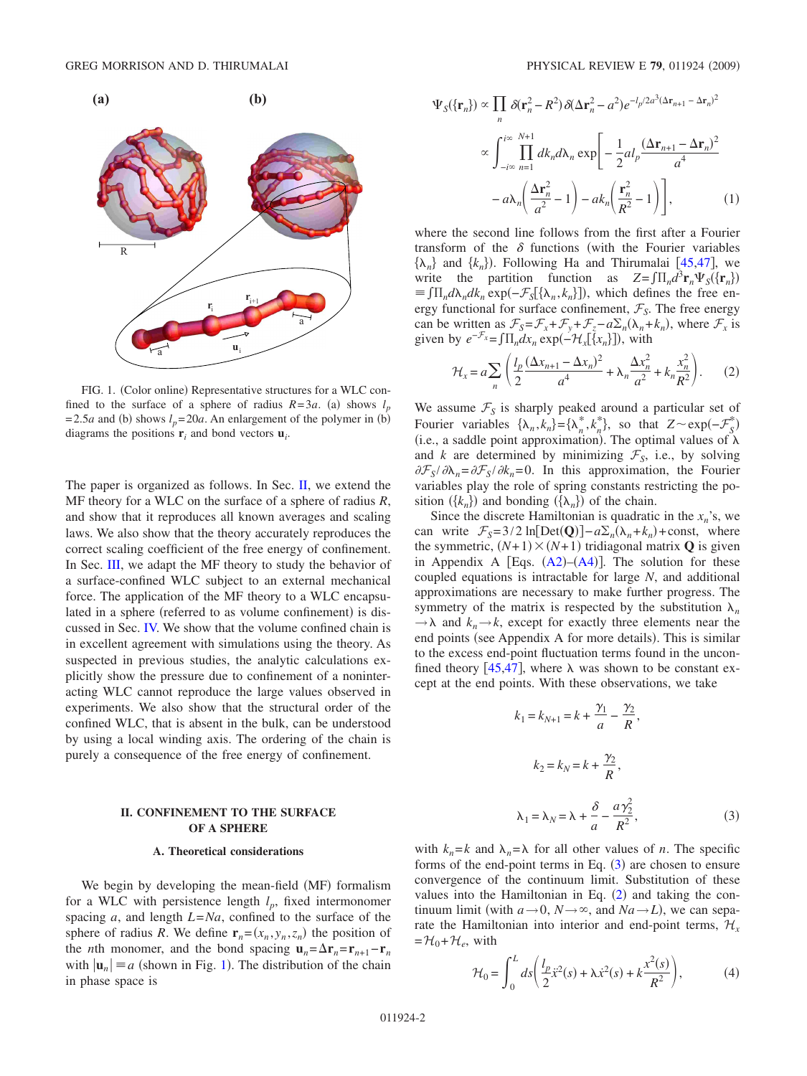<span id="page-1-1"></span>

FIG. 1. (Color online) Representative structures for a WLC confined to the surface of a sphere of radius  $R=3a$ . (a) shows  $l_p$ = 2.5*a* and (b) shows  $l_p = 20a$ . An enlargement of the polymer in (b) diagrams the positions  $\mathbf{r}_i$  and bond vectors  $\mathbf{u}_i$ .

The paper is organized as follows. In Sec. [II,](#page-1-0) we extend the MF theory for a WLC on the surface of a sphere of radius *R*, and show that it reproduces all known averages and scaling laws. We also show that the theory accurately reproduces the correct scaling coefficient of the free energy of confinement. In Sec. [III,](#page-3-0) we adapt the MF theory to study the behavior of a surface-confined WLC subject to an external mechanical force. The application of the MF theory to a WLC encapsulated in a sphere (referred to as volume confinement) is discussed in Sec. [IV.](#page-5-0) We show that the volume confined chain is in excellent agreement with simulations using the theory. As suspected in previous studies, the analytic calculations explicitly show the pressure due to confinement of a noninteracting WLC cannot reproduce the large values observed in experiments. We also show that the structural order of the confined WLC, that is absent in the bulk, can be understood by using a local winding axis. The ordering of the chain is purely a consequence of the free energy of confinement.

# **II. CONFINEMENT TO THE SURFACE OF A SPHERE**

### **A. Theoretical considerations**

<span id="page-1-0"></span>We begin by developing the mean-field (MF) formalism for a WLC with persistence length  $l_p$ , fixed intermonomer spacing *a*, and length *L*=*Na*, confined to the surface of the sphere of radius *R*. We define  $\mathbf{r}_n = (x_n, y_n, z_n)$  the position of the *n*th monomer, and the bond spacing  $\mathbf{u}_n = \Delta \mathbf{r}_n = \mathbf{r}_{n+1} - \mathbf{r}_n$ with  $|\mathbf{u}_n| \equiv a$  (shown in Fig. [1](#page-1-1)). The distribution of the chain in phase space is

<span id="page-1-4"></span>
$$
\Psi_{S}(\{\mathbf{r}_{n}\}) \propto \prod_{n} \delta(\mathbf{r}_{n}^{2} - R^{2}) \delta(\Delta \mathbf{r}_{n}^{2} - a^{2}) e^{-l_{p}/2a^{3}(\Delta \mathbf{r}_{n+1} - \Delta \mathbf{r}_{n})^{2}}
$$
\n
$$
\propto \int_{-i\infty}^{i\infty} \prod_{n=1}^{N+1} dk_{n} d\lambda_{n} \exp\left[-\frac{1}{2}al_{p}\frac{(\Delta \mathbf{r}_{n+1} - \Delta \mathbf{r}_{n})^{2}}{a^{4}} -a\lambda_{n}\left(\frac{\Delta \mathbf{r}_{n}^{2}}{a^{2}} - 1\right) - ak_{n}\left(\frac{\mathbf{r}_{n}^{2}}{R^{2}} - 1\right)\right],
$$
\n(1)

where the second line follows from the first after a Fourier transform of the  $\delta$  functions (with the Fourier variables  $\{\lambda_n\}$  and  $\{k_n\}$ ). Following Ha and Thirumalai [[45,](#page-13-36)[47](#page-13-37)], we write the partition function as  $Z = \int \prod_n d^3 \mathbf{r}_n \Psi_S(\{\mathbf{r}_n\})$  $\equiv \int \prod_n d\lambda_n dk_n \exp(-\mathcal{F}_S[\{\lambda_n, k_n\}])$ , which defines the free energy functional for surface confinement,  $\mathcal{F}_S$ . The free energy can be written as  $\mathcal{F}_s = \mathcal{F}_x + \mathcal{F}_y + \mathcal{F}_z - a \Sigma_n (\lambda_n + k_n)$ , where  $\mathcal{F}_x$  is given by  $e^{-\mathcal{F}_x} = \int \prod_n dx_n \exp(-\mathcal{H}_x[\{x_n\}])$ , with

$$
\mathcal{H}_x = a \sum_n \left( \frac{l_p}{2} \frac{(\Delta x_{n+1} - \Delta x_n)^2}{a^4} + \lambda_n \frac{\Delta x_n^2}{a^2} + k_n \frac{x_n^2}{R^2} \right). \tag{2}
$$

<span id="page-1-3"></span>We assume  $\mathcal{F}_S$  is sharply peaked around a particular set of Fourier variables  $\{\lambda_n, k_n\} = \{\lambda_n^*, k_n^*\}$ , so that  $Z \sim \exp(-\mathcal{F}_S^*)$ (i.e., a saddle point approximation). The optimal values of  $\lambda$ and *k* are determined by minimizing  $\mathcal{F}_s$ , i.e., by solving  $\partial \mathcal{F}_S / \partial \lambda_n = \partial \mathcal{F}_S / \partial k_n = 0$ . In this approximation, the Fourier variables play the role of spring constants restricting the position  $({k_n})$  and bonding  $({\lambda_n})$  of the chain.

Since the discrete Hamiltonian is quadratic in the  $x_n$ 's, we can write  $F_S = 3/2 \ln[\text{Det}(\mathbf{Q})] - a \Sigma_n(\lambda_n + k_n) + \text{const},$  where the symmetric,  $(N+1) \times (N+1)$  tridiagonal matrix **Q** is given in Appendix A [Eqs.  $(A2)$  $(A2)$  $(A2)$ – $(A4)$  $(A4)$  $(A4)$ ]. The solution for these coupled equations is intractable for large *N*, and additional approximations are necessary to make further progress. The symmetry of the matrix is respected by the substitution  $\lambda_n$  $\rightarrow \lambda$  and  $k_n \rightarrow k$ , except for exactly three elements near the end points (see Appendix A for more details). This is similar to the excess end-point fluctuation terms found in the unconfined theory  $[45,47]$  $[45,47]$  $[45,47]$  $[45,47]$ , where  $\lambda$  was shown to be constant except at the end points. With these observations, we take

<span id="page-1-2"></span>
$$
k_1 = k_{N+1} = k + \frac{\gamma_1}{a} - \frac{\gamma_2}{R},
$$
  
\n
$$
k_2 = k_N = k + \frac{\gamma_2}{R},
$$
  
\n
$$
\lambda_1 = \lambda_N = \lambda + \frac{\delta}{a} - \frac{a\gamma_2^2}{R^2},
$$
\n(3)

with  $k_n = k$  and  $\lambda_n = \lambda$  for all other values of *n*. The specific forms of the end-point terms in Eq.  $(3)$  $(3)$  $(3)$  are chosen to ensure convergence of the continuum limit. Substitution of these values into the Hamiltonian in Eq.  $(2)$  $(2)$  $(2)$  and taking the continuum limit (with  $a \rightarrow 0$ ,  $N \rightarrow \infty$ , and  $Na \rightarrow L$ ), we can separate the Hamiltonian into interior and end-point terms,  $\mathcal{H}_r$  $=\mathcal{H}_0+\mathcal{H}_e$ , with

<span id="page-1-5"></span>
$$
\mathcal{H}_0 = \int_0^L ds \left( \frac{l_p}{2} \dot{x}^2(s) + \lambda \dot{x}^2(s) + k \frac{x^2(s)}{R^2} \right),\tag{4}
$$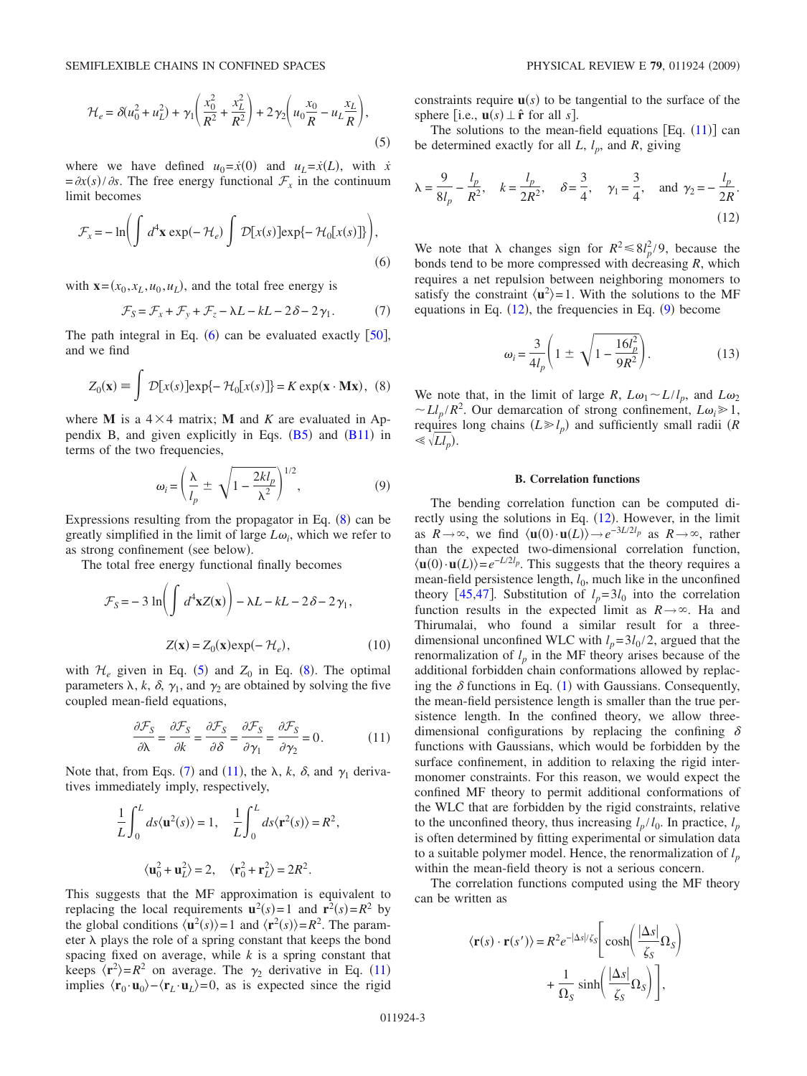<span id="page-2-2"></span>
$$
\mathcal{H}_e = \delta(u_0^2 + u_L^2) + \gamma_1 \left(\frac{x_0^2}{R^2} + \frac{x_L^2}{R^2}\right) + 2\gamma_2 \left(u_0 \frac{x_0}{R} - u_L \frac{x_L}{R}\right),\tag{5}
$$

where we have defined  $u_0 = \dot{x}(0)$  and  $u_L = \dot{x}(L)$ , with  $\dot{x}$  $=\frac{\partial x(s)}{\partial s}$ . The free energy functional  $\mathcal{F}_x$  in the continuum limit becomes

<span id="page-2-0"></span>
$$
\mathcal{F}_x = -\ln\biggl(\int d^4\mathbf{x} \exp(-\mathcal{H}_e) \int \mathcal{D}[x(s)] \exp\{-\mathcal{H}_0[x(s)]\}\biggr),\tag{6}
$$

with  $\mathbf{x} = (x_0, x_L, u_0, u_L)$ , and the total free energy is

$$
\mathcal{F}_S = \mathcal{F}_x + \mathcal{F}_y + \mathcal{F}_z - \lambda L - kL - 2\delta - 2\gamma_1. \tag{7}
$$

<span id="page-2-3"></span>The path integral in Eq.  $(6)$  $(6)$  $(6)$  can be evaluated exactly  $[50]$  $[50]$  $[50]$ , and we find

$$
Z_0(\mathbf{x}) \equiv \int \mathcal{D}[x(s)] \exp\{-\mathcal{H}_0[x(s)]\} = K \exp(\mathbf{x} \cdot \mathbf{M}\mathbf{x}), \tag{8}
$$

<span id="page-2-1"></span>where **M** is a  $4 \times 4$  matrix; **M** and *K* are evaluated in Appendix B, and given explicitly in Eqs.  $(B5)$  $(B5)$  $(B5)$  and  $(B11)$  $(B11)$  $(B11)$  in terms of the two frequencies,

$$
\omega_i = \left(\frac{\lambda}{l_p} \pm \sqrt{1 - \frac{2kl_p}{\lambda^2}}\right)^{1/2},\tag{9}
$$

<span id="page-2-6"></span>Expressions resulting from the propagator in Eq.  $(8)$  $(8)$  $(8)$  can be greatly simplified in the limit of large  $L\omega_i$ , which we refer to as strong confinement (see below).

The total free energy functional finally becomes

<span id="page-2-8"></span>
$$
\mathcal{F}_S = -3 \ln \left( \int d^4 \mathbf{x} Z(\mathbf{x}) \right) - \lambda L - kL - 2 \delta - 2 \gamma_1,
$$
  

$$
Z(\mathbf{x}) = Z_0(\mathbf{x}) \exp(-\mathcal{H}_e), \qquad (10)
$$

with  $\mathcal{H}_e$  given in Eq. ([5](#page-2-2)) and  $Z_0$  in Eq. ([8](#page-2-1)). The optimal parameters  $\lambda$ ,  $k$ ,  $\delta$ ,  $\gamma_1$ , and  $\gamma_2$  are obtained by solving the five coupled mean-field equations,

$$
\frac{\partial \mathcal{F}_S}{\partial \lambda} = \frac{\partial \mathcal{F}_S}{\partial k} = \frac{\partial \mathcal{F}_S}{\partial \delta} = \frac{\partial \mathcal{F}_S}{\partial \gamma_1} = \frac{\partial \mathcal{F}_S}{\partial \gamma_2} = 0.
$$
 (11)

<span id="page-2-4"></span>Note that, from Eqs. ([7](#page-2-3)) and ([11](#page-2-4)), the  $\lambda$ ,  $k$ ,  $\delta$ , and  $\gamma_1$  derivatives immediately imply, respectively,

$$
\frac{1}{L} \int_0^L ds \langle \mathbf{u}^2(s) \rangle = 1, \quad \frac{1}{L} \int_0^L ds \langle \mathbf{r}^2(s) \rangle = R^2,
$$

$$
\langle \mathbf{u}_0^2 + \mathbf{u}_L^2 \rangle = 2, \quad \langle \mathbf{r}_0^2 + \mathbf{r}_L^2 \rangle = 2R^2.
$$

This suggests that the MF approximation is equivalent to replacing the local requirements  $\mathbf{u}^2(s) = 1$  and  $\mathbf{r}^2(s) = R^2$  by the global conditions  $\langle \mathbf{u}^2(s) \rangle = 1$  and  $\langle \mathbf{r}^2(s) \rangle = R^2$ . The parameter  $\lambda$  plays the role of a spring constant that keeps the bond spacing fixed on average, while *k* is a spring constant that keeps  $\langle \mathbf{r}^2 \rangle = R^2$  on average. The  $\gamma_2$  derivative in Eq. ([11](#page-2-4)) implies  $\langle \mathbf{r}_0 \cdot \mathbf{u}_0 \rangle - \langle \mathbf{r}_L \cdot \mathbf{u}_L \rangle = 0$ , as is expected since the rigid constraints require  $\mathbf{u}(s)$  to be tangential to the surface of the sphere [i.e.,  $\mathbf{u}(s) \perp \hat{\mathbf{r}}$  for all *s*].

The solutions to the mean-field equations  $[Eq. (11)]$  $[Eq. (11)]$  $[Eq. (11)]$  can be determined exactly for all  $L$ ,  $l_p$ , and  $R$ , giving

<span id="page-2-5"></span>
$$
\lambda = \frac{9}{8l_p} - \frac{l_p}{R^2}, \quad k = \frac{l_p}{2R^2}, \quad \delta = \frac{3}{4}, \quad \gamma_1 = \frac{3}{4}, \quad \text{and } \gamma_2 = -\frac{l_p}{2R}.
$$
\n(12)

We note that  $\lambda$  changes sign for  $R^2 \le 8l_p^2/9$ , because the bonds tend to be more compressed with decreasing *R*, which requires a net repulsion between neighboring monomers to satisfy the constraint  $\langle u^2 \rangle = 1$ . With the solutions to the MF equations in Eq.  $(12)$  $(12)$  $(12)$ , the frequencies in Eq.  $(9)$  $(9)$  $(9)$  become

$$
\omega_i = \frac{3}{4l_p} \left( 1 \pm \sqrt{1 - \frac{16l_p^2}{9R^2}} \right). \tag{13}
$$

<span id="page-2-9"></span>We note that, in the limit of large *R*,  $L\omega_1 \sim L/l_p$ , and  $L\omega_2$  $\sim L l_p / R^2$ . Our demarcation of strong confinement,  $L \omega_i \ge 1$ , requires long chains  $(L \ge l_p)$  and sufficiently small radii *(R*  $\ll \sqrt[L]{L_l}$ .

### **B. Correlation functions**

The bending correlation function can be computed directly using the solutions in Eq.  $(12)$  $(12)$  $(12)$ . However, in the limit as  $R \to \infty$ , we find  $\langle \mathbf{u}(0) \cdot \mathbf{u}(L) \rangle \to e^{-3L/2l_p}$  as  $R \to \infty$ , rather than the expected two-dimensional correlation function,  $\langle \mathbf{u}(0) \cdot \mathbf{u}(L) \rangle = e^{-L/2l_p}$ . This suggests that the theory requires a mean-field persistence length,  $l_0$ , much like in the unconfined theory [[45,](#page-13-36)[47](#page-13-37)]. Substitution of  $l_p = 3l_0$  into the correlation function results in the expected limit as  $R \rightarrow \infty$ . Ha and Thirumalai, who found a similar result for a threedimensional unconfined WLC with  $l_p = 3l_0/2$ , argued that the renormalization of  $l_p$  in the MF theory arises because of the additional forbidden chain conformations allowed by replacing the  $\delta$  functions in Eq. ([1](#page-1-4)) with Gaussians. Consequently, the mean-field persistence length is smaller than the true persistence length. In the confined theory, we allow threedimensional configurations by replacing the confining  $\delta$ functions with Gaussians, which would be forbidden by the surface confinement, in addition to relaxing the rigid intermonomer constraints. For this reason, we would expect the confined MF theory to permit additional conformations of the WLC that are forbidden by the rigid constraints, relative to the unconfined theory, thus increasing  $l_p / l_0$ . In practice,  $l_p$ is often determined by fitting experimental or simulation data to a suitable polymer model. Hence, the renormalization of  $l_p$ within the mean-field theory is not a serious concern.

The correlation functions computed using the MF theory can be written as

<span id="page-2-7"></span>
$$
\langle \mathbf{r}(s) \cdot \mathbf{r}(s') \rangle = R^2 e^{-|\Delta s|/\zeta_S} \left[ \cosh \left( \frac{|\Delta s|}{\zeta_S} \Omega_s \right) + \frac{1}{\Omega_S} \sinh \left( \frac{|\Delta s|}{\zeta_S} \Omega_s \right) \right],
$$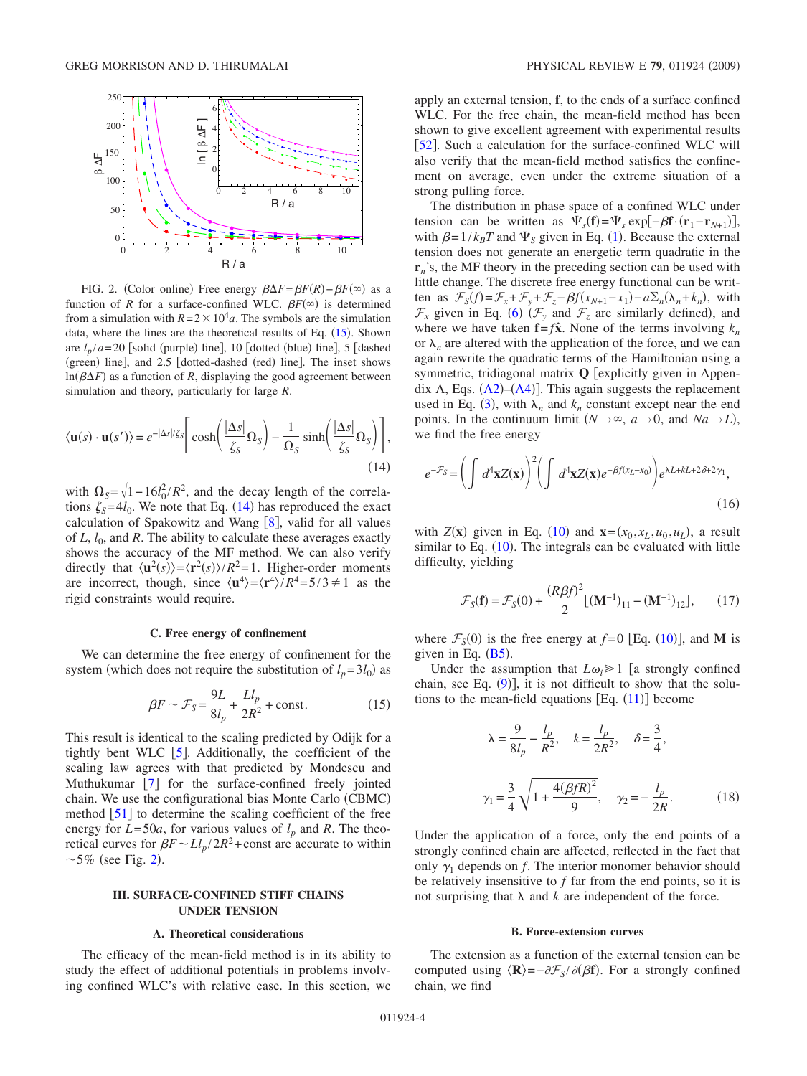<span id="page-3-1"></span>

FIG. 2. (Color online) Free energy  $\beta \Delta F = \beta F(R) - \beta F(\infty)$  as a function of *R* for a surface-confined WLC.  $\beta F^{(\infty)}$  is determined from a simulation with  $R = 2 \times 10^4 a$ . The symbols are the simulation data, where the lines are the theoretical results of Eq.  $(15)$  $(15)$  $(15)$ . Shown are  $l_p/a = 20$  [solid (purple) line], 10 [dotted (blue) line], 5 [dashed (green) line], and 2.5 [dotted-dashed (red) line]. The inset shows  $ln(\beta \Delta F)$  as a function of *R*, displaying the good agreement between simulation and theory, particularly for large *R*.

$$
\langle \mathbf{u}(s) \cdot \mathbf{u}(s') \rangle = e^{-|\Delta s|/\zeta_{S}} \Bigg[ \cosh \Big( \frac{|\Delta s|}{\zeta_{S}} \Omega_{S} \Big) - \frac{1}{\Omega_{S}} \sinh \Big( \frac{|\Delta s|}{\zeta_{S}} \Omega_{S} \Big) \Bigg], \tag{14}
$$

with  $\Omega_s = \sqrt{1 - 16l_0^2/R^2}$ , and the decay length of the correlations  $\zeta_s = 4l_0$ . We note that Eq. ([14](#page-2-7)) has reproduced the exact calculation of Spakowitz and Wang  $[8]$  $[8]$  $[8]$ , valid for all values of  $L, l_0$ , and  $R$ . The ability to calculate these averages exactly shows the accuracy of the MF method. We can also verify directly that  $\langle \mathbf{u}^2(s) \rangle = \langle \mathbf{r}^2(s) \rangle / R^2 = 1$ . Higher-order moments are incorrect, though, since  $\langle \mathbf{u}^4 \rangle = \langle \mathbf{r}^4 \rangle / R^4 = 5/3 \neq 1$  as the rigid constraints would require.

### **C. Free energy of confinement**

We can determine the free energy of confinement for the system (which does not require the substitution of  $l_p = 3l_0$ ) as

$$
\beta F \sim \mathcal{F}_S = \frac{9L}{8l_p} + \frac{Ll_p}{2R^2} + \text{const.}
$$
 (15)

<span id="page-3-2"></span>This result is identical to the scaling predicted by Odijk for a tightly bent WLC  $\lceil 5 \rceil$  $\lceil 5 \rceil$  $\lceil 5 \rceil$ . Additionally, the coefficient of the scaling law agrees with that predicted by Mondescu and Muthukumar  $\begin{bmatrix} 7 \end{bmatrix}$  $\begin{bmatrix} 7 \end{bmatrix}$  $\begin{bmatrix} 7 \end{bmatrix}$  for the surface-confined freely jointed chain. We use the configurational bias Monte Carlo (CBMC) method  $\lceil 51 \rceil$  $\lceil 51 \rceil$  $\lceil 51 \rceil$  to determine the scaling coefficient of the free energy for  $L = 50a$ , for various values of  $l_p$  and  $R$ . The theoretical curves for  $\beta F \sim L l_p / 2R^2$ +const are accurate to within  $\sim$  5% (see Fig. [2](#page-3-1)).

## **III. SURFACE-CONFINED STIFF CHAINS UNDER TENSION**

### **A. Theoretical considerations**

<span id="page-3-0"></span>The efficacy of the mean-field method is in its ability to study the effect of additional potentials in problems involving confined WLC's with relative ease. In this section, we apply an external tension, **f**, to the ends of a surface confined WLC. For the free chain, the mean-field method has been shown to give excellent agreement with experimental results [[52](#page-13-43)]. Such a calculation for the surface-confined WLC will also verify that the mean-field method satisfies the confinement on average, even under the extreme situation of a strong pulling force.

The distribution in phase space of a confined WLC under tension can be written as  $\Psi_s(\mathbf{f}) = \Psi_s \exp[-\beta \mathbf{f} \cdot (\mathbf{r}_1 - \mathbf{r}_{N+1})]$ , with  $\beta = 1/k_B T$  $\beta = 1/k_B T$  $\beta = 1/k_B T$  and  $\Psi_S$  given in Eq. (1). Because the external tension does not generate an energetic term quadratic in the  $\mathbf{r}_n$ 's, the MF theory in the preceding section can be used with little change. The discrete free energy functional can be written as  $\mathcal{F}_S(f) = \mathcal{F}_x + \mathcal{F}_y + \mathcal{F}_z - \beta f(x_{N+1} - x_1) - a \Sigma_n(\lambda_n + k_n)$ , with  $\mathcal{F}_x$  given in Eq. ([6](#page-2-0)) ( $\mathcal{F}_y$  and  $\mathcal{F}_z$  are similarly defined), and where we have taken  $f = f\hat{x}$ . None of the terms involving  $k_n$ or  $\lambda_n$  are altered with the application of the force, and we can again rewrite the quadratic terms of the Hamiltonian using a symmetric, tridiagonal matrix  $Q$  [explicitly given in Appendix A, Eqs.  $(A2)$  $(A2)$  $(A2)$ – $(A4)$  $(A4)$  $(A4)$ ]. This again suggests the replacement used in Eq. ([3](#page-1-2)), with  $\lambda_n$  and  $k_n$  constant except near the end points. In the continuum limit  $(N \rightarrow \infty, a \rightarrow 0,$  and  $Na \rightarrow L$ ), we find the free energy

$$
e^{-\mathcal{F}_S} = \left(\int d^4 \mathbf{x} Z(\mathbf{x})\right)^2 \left(\int d^4 \mathbf{x} Z(\mathbf{x}) e^{-\beta f(x_L - x_0)}\right) e^{\lambda L + kL + 2\delta + 2\gamma_1},\tag{16}
$$

with  $Z(\mathbf{x})$  given in Eq. ([10](#page-2-8)) and  $\mathbf{x} = (x_0, x_L, u_0, u_L)$ , a result similar to Eq.  $(10)$  $(10)$  $(10)$ . The integrals can be evaluated with little difficulty, yielding

$$
\mathcal{F}_S(\mathbf{f}) = \mathcal{F}_S(0) + \frac{(R\beta f)^2}{2} [(M^{-1})_{11} - (M^{-1})_{12}], \qquad (17)
$$

where  $\mathcal{F}_S(0)$  is the free energy at  $f=0$  [Eq. ([10](#page-2-8))], and **M** is given in Eq.  $(B5)$  $(B5)$  $(B5)$ .

Under the assumption that  $L\omega_i \geq 1$  [a strongly confined chain, see Eq.  $(9)$  $(9)$  $(9)$ ], it is not difficult to show that the solutions to the mean-field equations  $[Eq. (11)]$  $[Eq. (11)]$  $[Eq. (11)]$  become

$$
\lambda = \frac{9}{8l_p} - \frac{l_p}{R^2}, \quad k = \frac{l_p}{2R^2}, \quad \delta = \frac{3}{4},
$$
  

$$
\gamma_1 = \frac{3}{4} \sqrt{1 + \frac{4(\beta f R)^2}{9}}, \quad \gamma_2 = -\frac{l_p}{2R}.
$$
 (18)

Under the application of a force, only the end points of a strongly confined chain are affected, reflected in the fact that only  $\gamma_1$  depends on *f*. The interior monomer behavior should be relatively insensitive to *f* far from the end points, so it is not surprising that  $\lambda$  and  $k$  are independent of the force.

#### **B. Force-extension curves**

The extension as a function of the external tension can be computed using  $\langle \mathbf{R} \rangle = -\partial \mathcal{F}_S / \partial (\beta \mathbf{f})$ . For a strongly confined chain, we find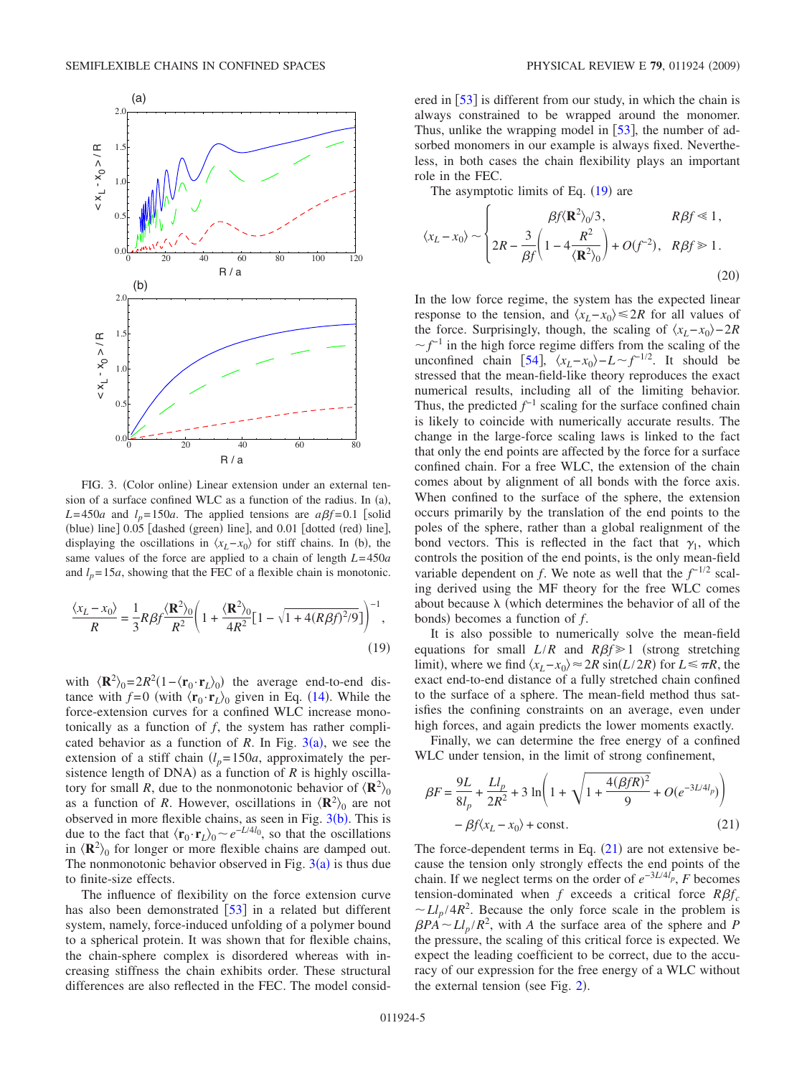<span id="page-4-0"></span>

FIG. 3. (Color online) Linear extension under an external tension of a surface confined WLC as a function of the radius. In  $(a)$ ,  $L=450a$  and  $l_p=150a$ . The applied tensions are  $a\beta f=0.1$  [solid (blue) line] 0.05 [dashed (green) line], and 0.01 [dotted (red) line], displaying the oscillations in  $\langle x_L - x_0 \rangle$  for stiff chains. In (b), the same values of the force are applied to a chain of length *L*= 450*a* and  $l_p = 15a$ , showing that the FEC of a flexible chain is monotonic.

<span id="page-4-1"></span>
$$
\frac{\langle x_L - x_0 \rangle}{R} = \frac{1}{3} R \beta f \frac{\langle \mathbf{R}^2 \rangle_0}{R^2} \left( 1 + \frac{\langle \mathbf{R}^2 \rangle_0}{4R^2} [1 - \sqrt{1 + 4(R\beta f)^2/9}] \right)^{-1},\tag{19}
$$

with  $\langle \mathbf{R}^2 \rangle_0 = 2R^2(1 - \langle \mathbf{r}_0 \cdot \mathbf{r}_L \rangle_0)$  the average end-to-end distance with  $f=0$  (with  $\langle \mathbf{r}_0 \cdot \mathbf{r}_L \rangle_0$  given in Eq. ([14](#page-2-7)). While the force-extension curves for a confined WLC increase monotonically as a function of *f*, the system has rather complicated behavior as a function of *R*. In Fig.  $3(a)$  $3(a)$ , we see the extension of a stiff chain  $(l_p=150a)$ , approximately the persistence length of DNA) as a function of  $R$  is highly oscillatory for small *R*, due to the nonmonotonic behavior of  $\langle \mathbf{R}^2 \rangle_0$ as a function of *R*. However, oscillations in  $\langle \mathbf{R}^2 \rangle_0$  are not o[b](#page-4-0)served in more flexible chains, as seen in Fig.  $3(b)$ . This is due to the fact that  $\langle \mathbf{r}_0 \cdot \mathbf{r}_1 \rangle_0 \sim e^{-L/4}$ , so that the oscillations in  $\langle \mathbf{R}^2 \rangle_0$  for longer or more flexible chains are damped out. The nonmonotonic behavior observed in Fig.  $3(a)$  $3(a)$  is thus due to finite-size effects.

The influence of flexibility on the force extension curve has also been demonstrated [[53](#page-13-44)] in a related but different system, namely, force-induced unfolding of a polymer bound to a spherical protein. It was shown that for flexible chains, the chain-sphere complex is disordered whereas with increasing stiffness the chain exhibits order. These structural differences are also reflected in the FEC. The model considered in  $[53]$  $[53]$  $[53]$  is different from our study, in which the chain is always constrained to be wrapped around the monomer. Thus, unlike the wrapping model in  $\lceil 53 \rceil$  $\lceil 53 \rceil$  $\lceil 53 \rceil$ , the number of adsorbed monomers in our example is always fixed. Nevertheless, in both cases the chain flexibility plays an important role in the FEC.

The asymptotic limits of Eq.  $(19)$  $(19)$  $(19)$  are

$$
\langle x_L - x_0 \rangle \sim \begin{cases} \beta f \langle \mathbf{R}^2 \rangle_0 / 3, & R \beta f \ll 1, \\ 2R - \frac{3}{\beta f} \left( 1 - 4 \frac{R^2}{\langle \mathbf{R}^2 \rangle_0} \right) + O(f^{-2}), & R \beta f \gg 1. \end{cases}
$$
(20)

In the low force regime, the system has the expected linear response to the tension, and  $\langle x_L - x_0 \rangle \leq 2R$  for all values of the force. Surprisingly, though, the scaling of  $\langle x_L - x_0 \rangle - 2R$  $f^{-1}$  in the high force regime differs from the scaling of the unconfined chain [[54](#page-13-45)],  $\langle x_L - x_0 \rangle - L \sim f^{-1/2}$ . It should be stressed that the mean-field-like theory reproduces the exact numerical results, including all of the limiting behavior. Thus, the predicted  $f^{-1}$  scaling for the surface confined chain is likely to coincide with numerically accurate results. The change in the large-force scaling laws is linked to the fact that only the end points are affected by the force for a surface confined chain. For a free WLC, the extension of the chain comes about by alignment of all bonds with the force axis. When confined to the surface of the sphere, the extension occurs primarily by the translation of the end points to the poles of the sphere, rather than a global realignment of the bond vectors. This is reflected in the fact that  $\gamma_1$ , which controls the position of the end points, is the only mean-field variable dependent on *f*. We note as well that the  $f^{-1/2}$  scaling derived using the MF theory for the free WLC comes about because  $\lambda$  (which determines the behavior of all of the bonds) becomes a function of *f*.

It is also possible to numerically solve the mean-field equations for small  $L/R$  and  $R\beta f \ge 1$  (strong stretching limit), where we find  $\langle x_L - x_0 \rangle \approx 2R \sin(L/2R)$  for *L* ≤  $\pi R$ , the exact end-to-end distance of a fully stretched chain confined to the surface of a sphere. The mean-field method thus satisfies the confining constraints on an average, even under high forces, and again predicts the lower moments exactly.

Finally, we can determine the free energy of a confined WLC under tension, in the limit of strong confinement,

<span id="page-4-2"></span>
$$
\beta F = \frac{9L}{8l_p} + \frac{Ll_p}{2R^2} + 3 \ln \left( 1 + \sqrt{1 + \frac{4(\beta f R)^2}{9}} + O(e^{-3L/4l_p}) \right) - \beta f \langle x_L - x_0 \rangle + \text{const.}
$$
\n(21)

The force-dependent terms in Eq.  $(21)$  $(21)$  $(21)$  are not extensive because the tension only strongly effects the end points of the chain. If we neglect terms on the order of  $e^{-3L/4I_p}$ , *F* becomes tension-dominated when  $f$  exceeds a critical force  $R\beta f_c$  $\sim L l_p / 4R^2$ . Because the only force scale in the problem is  $\beta P A \sim L l_p / R^2$ , with *A* the surface area of the sphere and *P* the pressure, the scaling of this critical force is expected. We expect the leading coefficient to be correct, due to the accuracy of our expression for the free energy of a WLC without the external tension (see Fig.  $2$ ).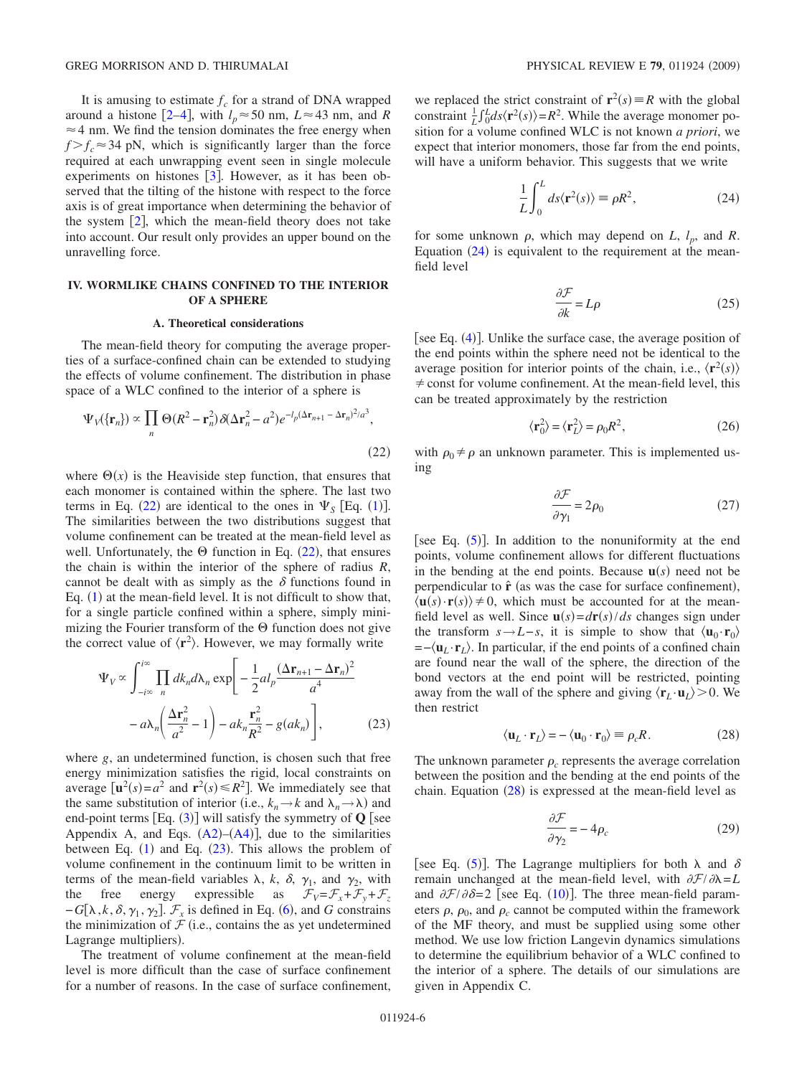It is amusing to estimate  $f_c$  for a strand of DNA wrapped around a histone [[2–](#page-13-1)[4](#page-13-2)], with  $l_p \approx 50$  nm,  $L \approx 43$  nm, and *R*  $\approx$  4 nm. We find the tension dominates the free energy when  $f > f_c \approx 34$  pN, which is significantly larger than the force required at each unwrapping event seen in single molecule experiments on histones  $\lceil 3 \rceil$  $\lceil 3 \rceil$  $\lceil 3 \rceil$ . However, as it has been observed that the tilting of the histone with respect to the force axis is of great importance when determining the behavior of the system  $\lceil 2 \rceil$  $\lceil 2 \rceil$  $\lceil 2 \rceil$ , which the mean-field theory does not take into account. Our result only provides an upper bound on the unravelling force.

### <span id="page-5-0"></span>**IV. WORMLIKE CHAINS CONFINED TO THE INTERIOR OF A SPHERE**

### **A. Theoretical considerations**

The mean-field theory for computing the average properties of a surface-confined chain can be extended to studying the effects of volume confinement. The distribution in phase space of a WLC confined to the interior of a sphere is

<span id="page-5-1"></span>
$$
\Psi_V(\{\mathbf{r}_n\}) \propto \prod_n \Theta(R^2 - \mathbf{r}_n^2) \delta(\Delta \mathbf{r}_n^2 - a^2) e^{-l_p (\Delta \mathbf{r}_{n+1} - \Delta \mathbf{r}_n)^2 / a^3},
$$
\n(22)

where  $\Theta(x)$  is the Heaviside step function, that ensures that each monomer is contained within the sphere. The last two terms in Eq. ([22](#page-5-1)) are identical to the ones in  $\Psi_{S}$  [Eq. ([1](#page-1-4))]. The similarities between the two distributions suggest that volume confinement can be treated at the mean-field level as well. Unfortunately, the  $\Theta$  function in Eq. ([22](#page-5-1)), that ensures the chain is within the interior of the sphere of radius *R*, cannot be dealt with as simply as the  $\delta$  functions found in Eq.  $(1)$  $(1)$  $(1)$  at the mean-field level. It is not difficult to show that, for a single particle confined within a sphere, simply minimizing the Fourier transform of the  $\Theta$  function does not give the correct value of  $\langle r^2 \rangle$ . However, we may formally write

<span id="page-5-2"></span>
$$
\Psi_V \propto \int_{-i\infty}^{i\infty} \prod_n dk_n d\lambda_n \exp\left[-\frac{1}{2}al_p \frac{(\Delta \mathbf{r}_{n+1} - \Delta \mathbf{r}_n)^2}{a^4} -a\lambda_n \left(\frac{\Delta \mathbf{r}_n^2}{a^2} - 1\right) - ak_n \frac{\mathbf{r}_n^2}{R^2} - g(ak_n)\right],
$$
\n(23)

where *g*, an undetermined function, is chosen such that free energy minimization satisfies the rigid, local constraints on average  $[\mathbf{u}^2(s) = a^2$  and  $\mathbf{r}^2(s) \le R^2]$ . We immediately see that the same substitution of interior (i.e.,  $k_n \to k$  and  $\lambda_n \to \lambda$ ) and end-point terms  $Eq. (3)$  $Eq. (3)$  $Eq. (3)$ ] will satisfy the symmetry of **Q** [see Appendix A, and Eqs.  $(A2)$  $(A2)$  $(A2)$ – $(A4)$  $(A4)$  $(A4)$ ], due to the similarities between Eq.  $(1)$  $(1)$  $(1)$  and Eq.  $(23)$  $(23)$  $(23)$ . This allows the problem of volume confinement in the continuum limit to be written in terms of the mean-field variables  $\lambda$ ,  $k$ ,  $\delta$ ,  $\gamma_1$ , and  $\gamma_2$ , with the free energy expressible as  $\mathcal{F}_V = \mathcal{F}_x + \mathcal{F}_y + \mathcal{F}_z$  $-G[\lambda, k, \delta, \gamma_1, \gamma_2]$ .  $\mathcal{F}_x$  is defined in Eq. ([6](#page-2-0)), and *G* constrains the minimization of  $\mathcal F$  (i.e., contains the as yet undetermined Lagrange multipliers).

The treatment of volume confinement at the mean-field level is more difficult than the case of surface confinement for a number of reasons. In the case of surface confinement,

we replaced the strict constraint of  $\mathbf{r}^2(s) \equiv R$  with the global constraint  $\frac{1}{L} \int_0^L ds \langle \mathbf{r}^2(s) \rangle = R^2$ . While the average monomer position for a volume confined WLC is not known *a priori*, we expect that interior monomers, those far from the end points, will have a uniform behavior. This suggests that we write

$$
\frac{1}{L} \int_0^L ds \langle \mathbf{r}^2(s) \rangle \equiv \rho R^2,\tag{24}
$$

<span id="page-5-3"></span>for some unknown  $\rho$ , which may depend on *L*,  $l_p$ , and *R*. Equation  $(24)$  $(24)$  $(24)$  is equivalent to the requirement at the meanfield level

$$
\frac{\partial \mathcal{F}}{\partial k} = L\rho \tag{25}
$$

[see Eq. ([4](#page-1-5))]. Unlike the surface case, the average position of the end points within the sphere need not be identical to the average position for interior points of the chain, i.e.,  $\langle \mathbf{r}^2(s) \rangle$  $\neq$  const for volume confinement. At the mean-field level, this can be treated approximately by the restriction

$$
\langle \mathbf{r}_0^2 \rangle = \langle \mathbf{r}_L^2 \rangle = \rho_0 R^2,\tag{26}
$$

with  $\rho_0 \neq \rho$  an unknown parameter. This is implemented using

$$
\frac{\partial \mathcal{F}}{\partial \gamma_1} = 2\rho_0 \tag{27}
$$

[see Eq.  $(5)$  $(5)$  $(5)$ ]. In addition to the nonuniformity at the end points, volume confinement allows for different fluctuations in the bending at the end points. Because  $\mathbf{u}(s)$  need not be perpendicular to  $\hat{\mathbf{r}}$  (as was the case for surface confinement),  $\langle \mathbf{u}(s) \cdot \mathbf{r}(s) \rangle \neq 0$ , which must be accounted for at the meanfield level as well. Since  $\mathbf{u}(s) = d\mathbf{r}(s)/ds$  changes sign under the transform  $s \rightarrow L-s$ , it is simple to show that  $\langle \mathbf{u}_0 \cdot \mathbf{r}_0 \rangle$ =−**u***<sup>L</sup>* ·**r***L*. In particular, if the end points of a confined chain are found near the wall of the sphere, the direction of the bond vectors at the end point will be restricted, pointing away from the wall of the sphere and giving  $\langle \mathbf{r}_L \cdot \mathbf{u}_L \rangle > 0$ . We then restrict

$$
\langle \mathbf{u}_L \cdot \mathbf{r}_L \rangle = -\langle \mathbf{u}_0 \cdot \mathbf{r}_0 \rangle \equiv \rho_c R. \tag{28}
$$

<span id="page-5-4"></span>The unknown parameter  $\rho_c$  represents the average correlation between the position and the bending at the end points of the chain. Equation  $(28)$  $(28)$  $(28)$  is expressed at the mean-field level as

$$
\frac{\partial \mathcal{F}}{\partial \gamma_2} = -4\rho_c \tag{29}
$$

[see Eq. ([5](#page-2-2))]. The Lagrange multipliers for both  $\lambda$  and  $\delta$ remain unchanged at the mean-field level, with  $\partial \mathcal{F}/\partial \lambda = L$ and  $\partial \mathcal{F}/\partial \delta = 2$  [see Eq. ([10](#page-2-8))]. The three mean-field parameters  $\rho$ ,  $\rho_0$ , and  $\rho_c$  cannot be computed within the framework of the MF theory, and must be supplied using some other method. We use low friction Langevin dynamics simulations to determine the equilibrium behavior of a WLC confined to the interior of a sphere. The details of our simulations are given in Appendix C.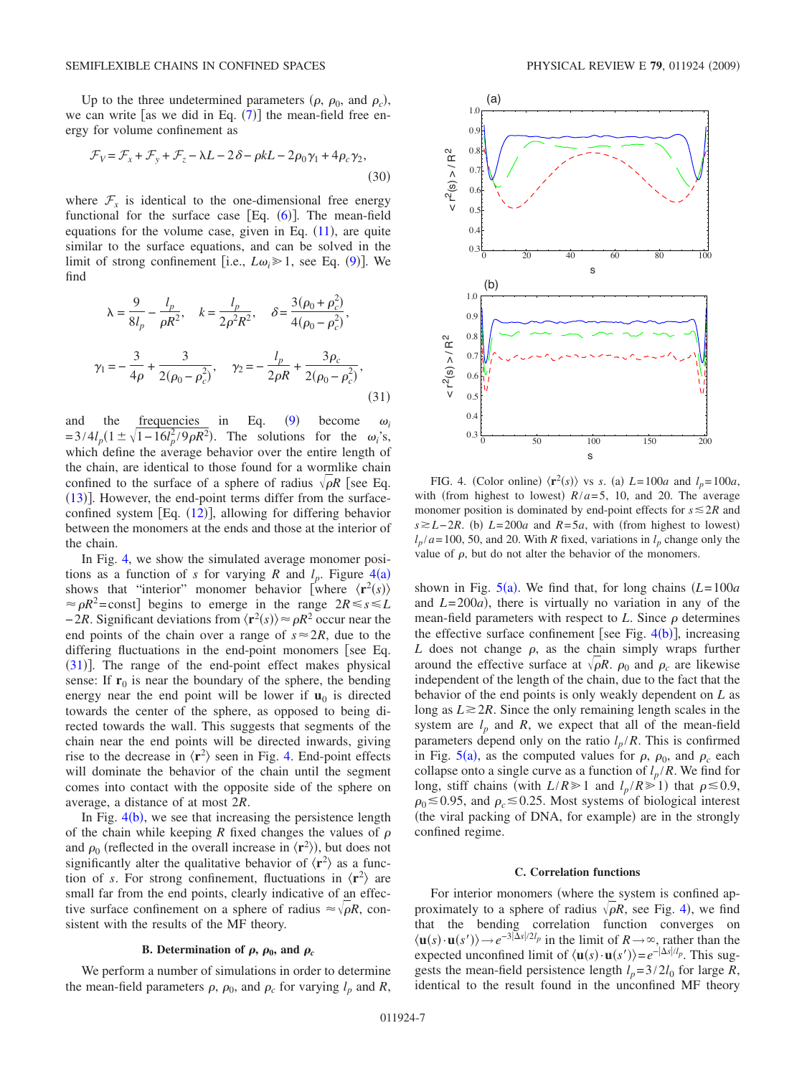Up to the three undetermined parameters  $(\rho, \rho_0, \text{ and } \rho_c)$ , we can write [as we did in Eq.  $(7)$  $(7)$  $(7)$ ] the mean-field free energy for volume confinement as

$$
\mathcal{F}_V = \mathcal{F}_x + \mathcal{F}_y + \mathcal{F}_z - \lambda L - 2\delta - \rho kL - 2\rho_0 \gamma_1 + 4\rho_c \gamma_2,
$$
\n(30)

where  $\mathcal{F}_x$  is identical to the one-dimensional free energy functional for the surface case  $[Eq. (6)]$  $[Eq. (6)]$  $[Eq. (6)]$ . The mean-field equations for the volume case, given in Eq.  $(11)$  $(11)$  $(11)$ , are quite similar to the surface equations, and can be solved in the limit of strong confinement [i.e.,  $L\omega_i \ge 1$ , see Eq. ([9](#page-2-6))]. We find

<span id="page-6-1"></span>
$$
\lambda = \frac{9}{8l_p} - \frac{l_p}{\rho R^2}, \quad k = \frac{l_p}{2\rho^2 R^2}, \quad \delta = \frac{3(\rho_0 + \rho_c^2)}{4(\rho_0 - \rho_c^2)},
$$
  

$$
\gamma_1 = -\frac{3}{4\rho} + \frac{3}{2(\rho_0 - \rho_c^2)}, \quad \gamma_2 = -\frac{l_p}{2\rho R} + \frac{3\rho_c}{2(\rho_0 - \rho_c^2)},
$$
(31)

and the frequencies in Eq.  $(9)$  $(9)$  $(9)$ become  $\omega_i$  $=3/4l_p(1 \pm \sqrt{1-16l_p^2/9\rho R^2})$ . The solutions for the  $\omega_i$ 's, which define the average behavior over the entire length of the chain, are identical to those found for a wormlike chain confined to the surface of a sphere of radius  $\sqrt{\rho R}$  [see Eq.  $(13)$  $(13)$  $(13)$ ]. However, the end-point terms differ from the surfaceconfined system  $[Eq. (12)]$  $[Eq. (12)]$  $[Eq. (12)]$ , allowing for differing behavior between the monomers at the ends and those at the interior of the chain.

In Fig. [4,](#page-6-0) we show the simulated average monomer positions as a function of *s* for varying *R* and  $l_p$ . Figure [4](#page-6-0)(a) shows that "interior" monomer behavior [where  $\langle \mathbf{r}^2(s) \rangle$  $\approx \rho R^2$ =const] begins to emerge in the range  $2R \le s \le L$  $-2R$ . Significant deviations from  $\langle \mathbf{r}^2(s) \rangle \approx \rho R^2$  occur near the end points of the chain over a range of  $s \approx 2R$ , due to the differing fluctuations in the end-point monomers [see Eq. ([31](#page-6-1))]. The range of the end-point effect makes physical sense: If  $r_0$  is near the boundary of the sphere, the bending energy near the end point will be lower if  $\mathbf{u}_0$  is directed towards the center of the sphere, as opposed to being directed towards the wall. This suggests that segments of the chain near the end points will be directed inwards, giving rise to the decrease in  $\langle \mathbf{r}^2 \rangle$  seen in Fig. [4.](#page-6-0) End-point effects will dominate the behavior of the chain until the segment comes into contact with the opposite side of the sphere on average, a distance of at most 2*R*.

In Fig.  $4(b)$  $4(b)$ , we see that increasing the persistence length of the chain while keeping *R* fixed changes the values of  $\rho$ and  $\rho_0$  (reflected in the overall increase in  $\langle \mathbf{r}^2 \rangle$ ), but does not significantly alter the qualitative behavior of  $\langle r^2 \rangle$  as a function of *s*. For strong confinement, fluctuations in  $\langle r^2 \rangle$  are small far from the end points, clearly indicative of an effective surface confinement on a sphere of radius  $\approx \sqrt{\rho R}$ , consistent with the results of the MF theory.

### **B.** Determination of  $\rho$ ,  $\rho_0$ , and  $\rho_c$

We perform a number of simulations in order to determine the mean-field parameters  $\rho$ ,  $\rho_0$ , and  $\rho_c$  for varying  $l_p$  and *R*,

<span id="page-6-0"></span>

FIG. 4. (Color online)  $\langle \mathbf{r}^2(s) \rangle$  vs *s*. (a)  $L = 100a$  and  $l_p = 100a$ , with (from highest to lowest)  $R/a = 5$ , 10, and 20. The average monomer position is dominated by end-point effects for  $s \leq 2R$  and  $s \ge L - 2R$ . (b)  $L = 200a$  and  $R = 5a$ , with (from highest to lowest)  $l_p/a = 100$ , 50, and 20. With *R* fixed, variations in  $l_p$  change only the value of  $\rho$ , but do not alter the behavior of the monomers.

shown in Fig.  $5(a)$  $5(a)$ . We find that, for long chains  $(L=100a)$ and  $L=200a$ ), there is virtually no variation in any of the mean-field parameters with respect to  $L$ . Since  $\rho$  determines the effective surface confinement [see Fig.  $4(b)$  $4(b)$ ], increasing *L* does not change  $\rho$ , as the chain simply wraps further around the effective surface at  $\sqrt{\rho R}$ .  $\rho_0$  and  $\rho_c$  are likewise independent of the length of the chain, due to the fact that the behavior of the end points is only weakly dependent on *L* as long as  $L \geq 2R$ . Since the only remaining length scales in the system are  $l_p$  and  $R$ , we expect that all of the mean-field parameters depend only on the ratio  $l_p/R$ . This is confirmed in Fig.  $5(a)$  $5(a)$ , as the computed values for  $\rho$ ,  $\rho_0$ , and  $\rho_c$  each collapse onto a single curve as a function of  $l_p/R$ . We find for long, stiff chains (with  $L/R \ge 1$  and  $l_p/R \ge 1$ ) that  $\rho \le 0.9$ ,  $\rho_0 \le 0.95$ , and  $\rho_c \le 0.25$ . Most systems of biological interest (the viral packing of DNA, for example) are in the strongly confined regime.

### **C. Correlation functions**

For interior monomers (where the system is confined approximately to a sphere of radius  $\sqrt{\rho}R$ , see Fig. [4](#page-6-0)), we find that the bending correlation function converges on  $\langle \mathbf{u}(s) \cdot \mathbf{u}(s') \rangle \rightarrow e^{-3|\Delta s|/2l_p}$  in the limit of  $R \rightarrow \infty$ , rather than the expected unconfined limit of  $\langle \mathbf{u}(s) \cdot \mathbf{u}(s') \rangle = e^{-|\Delta s|/l_p}$ . This suggests the mean-field persistence length  $l_p = 3/2l_0$  for large *R*, identical to the result found in the unconfined MF theory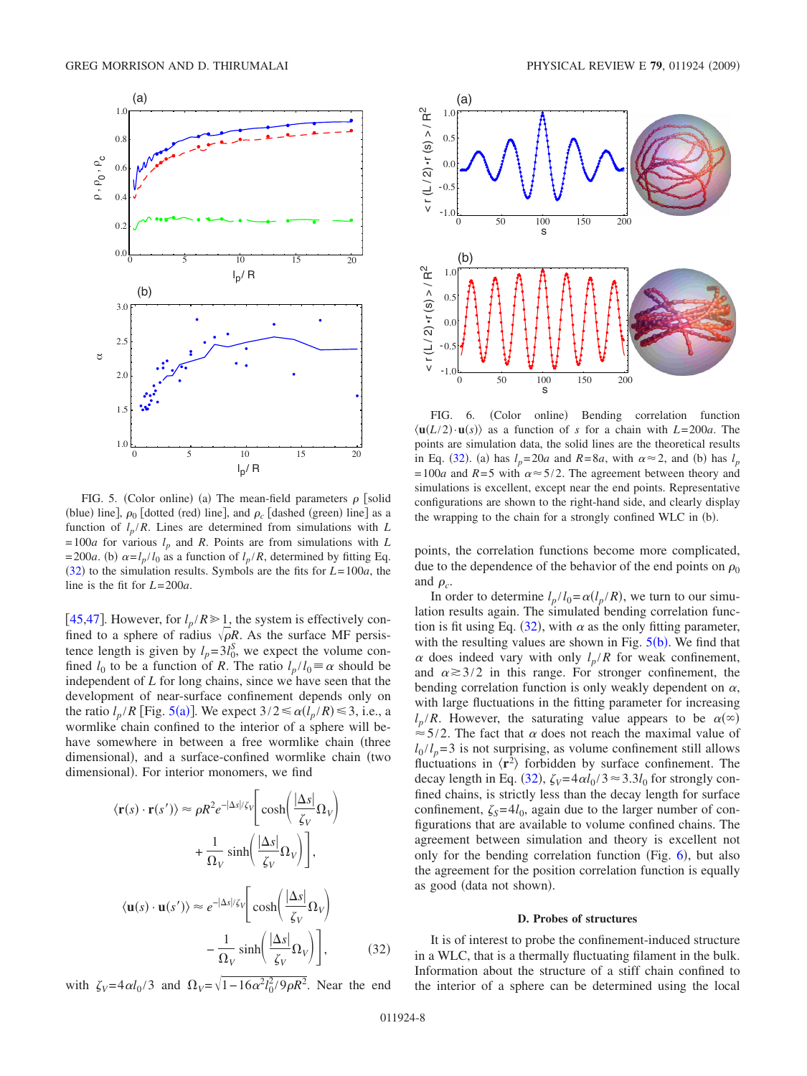<span id="page-7-0"></span>

FIG. 5. (Color online) (a) The mean-field parameters  $\rho$  [solid (blue) line],  $\rho_0$  [dotted (red) line], and  $\rho_c$  [dashed (green) line] as a function of  $l_p/R$ . Lines are determined from simulations with *L*  $= 100a$  for various  $l_p$  and *R*. Points are from simulations with *L*  $= 200a$ . (b)  $\alpha = l_p / l_0$  as a function of  $l_p / R$ , determined by fitting Eq.  $(32)$  $(32)$  $(32)$  to the simulation results. Symbols are the fits for  $L=100a$ , the line is the fit for *L*= 200*a*.

[[45](#page-13-36)[,47](#page-13-37)]. However, for  $l_p/R \ge 1$ , the system is effectively confined to a sphere of radius  $\sqrt{\rho R}$ . As the surface MF persistence length is given by  $l_p = 3l_0^S$ , we expect the volume confined  $l_0$  to be a function of *R*. The ratio  $l_p / l_0 \equiv \alpha$  should be independent of *L* for long chains, since we have seen that the development of near-surface confinement depends only on the ratio  $l_p/R$  [Fig. [5](#page-7-0)(a)]. We expect  $3/2 \le \alpha (l_p/R) \le 3$ , i.e., a wormlike chain confined to the interior of a sphere will behave somewhere in between a free wormlike chain (three dimensional), and a surface-confined wormlike chain (two dimensional). For interior monomers, we find

<span id="page-7-1"></span>
$$
\langle \mathbf{r}(s) \cdot \mathbf{r}(s') \rangle \approx \rho R^2 e^{-|\Delta s|/\zeta_V} \left[ \cosh \left( \frac{|\Delta s|}{\zeta_V} \Omega_V \right) + \frac{1}{\Omega_V} \sinh \left( \frac{|\Delta s|}{\zeta_V} \Omega_V \right) \right],
$$
  

$$
\langle \mathbf{u}(s) \cdot \mathbf{u}(s') \rangle \approx e^{-|\Delta s|/\zeta_V} \left[ \cosh \left( \frac{|\Delta s|}{\zeta_V} \Omega_V \right) - \frac{1}{\Omega_V} \sinh \left( \frac{|\Delta s|}{\zeta_V} \Omega_V \right) \right],
$$
(32)

with  $\zeta_V = 4 \alpha l_0 / 3$  and  $\Omega_V = \sqrt{1 - 16 \alpha^2 l_0^2 / 9 \rho R^2}$ . Near the end

<span id="page-7-2"></span>

FIG. 6. (Color online) Bending correlation function  $\langle$ **u**(*L*/2) ·**u**(*s*)) as a function of *s* for a chain with *L*=200*a*. The points are simulation data, the solid lines are the theoretical results in Eq. ([32](#page-7-1)). (a) has  $l_p = 20a$  and  $R = 8a$ , with  $\alpha \approx 2$ , and (b) has  $l_p$ = 100*a* and  $R = 5$  with  $\alpha \approx 5/2$ . The agreement between theory and simulations is excellent, except near the end points. Representative configurations are shown to the right-hand side, and clearly display the wrapping to the chain for a strongly confined WLC in (b).

points, the correlation functions become more complicated, due to the dependence of the behavior of the end points on  $\rho_0$ and  $\rho_c$ .

In order to determine  $l_p / l_0 = \alpha(l_p / R)$ , we turn to our simulation results again. The simulated bending correlation func-tion is fit using Eq. ([32](#page-7-1)), with  $\alpha$  as the only fitting parameter, with the resulting values are shown in Fig.  $5(b)$  $5(b)$ . We find that  $\alpha$  does indeed vary with only  $l_p/R$  for weak confinement, and  $\alpha \geq 3/2$  in this range. For stronger confinement, the bending correlation function is only weakly dependent on  $\alpha$ , with large fluctuations in the fitting parameter for increasing  $l_p/R$ . However, the saturating value appears to be  $\alpha(\infty)$  $\approx$  5/2. The fact that  $\alpha$  does not reach the maximal value of  $l_0$  / $l_p$  = 3 is not surprising, as volume confinement still allows fluctuations in  $\langle \mathbf{r}^2 \rangle$  forbidden by surface confinement. The decay length in Eq. ([32](#page-7-1)),  $\zeta_V = 4\alpha l_0 / 3 \approx 3.3 l_0$  for strongly confined chains, is strictly less than the decay length for surface confinement,  $\zeta_s = 4l_0$ , again due to the larger number of configurations that are available to volume confined chains. The agreement between simulation and theory is excellent not only for the bending correlation function (Fig.  $6$ ), but also the agreement for the position correlation function is equally as good (data not shown).

### **D. Probes of structures**

It is of interest to probe the confinement-induced structure in a WLC, that is a thermally fluctuating filament in the bulk. Information about the structure of a stiff chain confined to the interior of a sphere can be determined using the local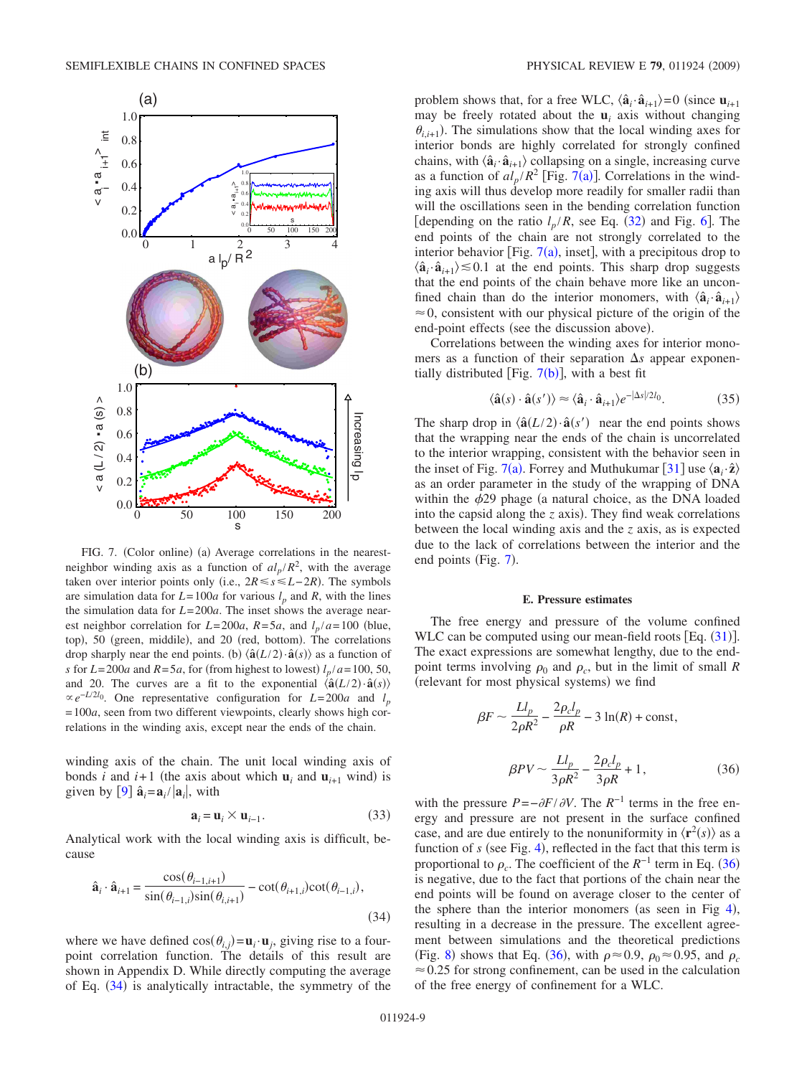<span id="page-8-1"></span>

FIG. 7. (Color online) (a) Average correlations in the nearestneighbor winding axis as a function of  $al_p/R^2$ , with the average taken over interior points only (i.e.,  $2R \le s \le L-2R$ ). The symbols are simulation data for  $L=100a$  for various  $l_p$  and  $R$ , with the lines the simulation data for *L*= 200*a*. The inset shows the average nearest neighbor correlation for  $L=200a$ ,  $R=5a$ , and  $l_p/a=100$  (blue, top), 50 (green, middile), and 20 (red, bottom). The correlations drop sharply near the end points. (b)  $\langle \hat{\mathbf{a}}(L/2) \cdot \hat{\mathbf{a}}(s) \rangle$  as a function of *s* for  $L=200a$  and  $R=5a$ , for (from highest to lowest)  $l_p/a=100$ , 50, and 20. The curves are a fit to the exponential  $\langle \hat{\mathbf{a}}(L/2) \cdot \hat{\mathbf{a}}(s) \rangle$  $\propto e^{-L/2l_0}$ . One representative configuration for *L*=200*a* and *l<sub>p</sub>*  $= 100a$ , seen from two different viewpoints, clearly shows high correlations in the winding axis, except near the ends of the chain.

winding axis of the chain. The unit local winding axis of bonds *i* and  $i+1$  (the axis about which  $\mathbf{u}_i$  and  $\mathbf{u}_{i+1}$  wind) is given by [[9](#page-13-7)]  $\hat{\mathbf{a}}_i = \mathbf{a}_i / |\mathbf{a}_i|$ , with

$$
\mathbf{a}_i = \mathbf{u}_i \times \mathbf{u}_{i-1}.
$$
 (33)

Analytical work with the local winding axis is difficult, because

<span id="page-8-0"></span>
$$
\hat{\mathbf{a}}_i \cdot \hat{\mathbf{a}}_{i+1} = \frac{\cos(\theta_{i-1,i+1})}{\sin(\theta_{i-1,i})\sin(\theta_{i,i+1})} - \cot(\theta_{i+1,i})\cot(\theta_{i-1,i}),
$$
\n(34)

where we have defined  $cos(\theta_{i,j}) = \mathbf{u}_i \cdot \mathbf{u}_j$ , giving rise to a fourpoint correlation function. The details of this result are shown in Appendix D. While directly computing the average of Eq. ([34](#page-8-0)) is analytically intractable, the symmetry of the

problem shows that, for a free WLC,  $\langle \hat{\mathbf{a}}_i \cdot \hat{\mathbf{a}}_{i+1} \rangle = 0$  (since  $\mathbf{u}_{i+1}$ may be freely rotated about the  $\mathbf{u}_i$  axis without changing  $\theta_{i,i+1}$ ). The simulations show that the local winding axes for interior bonds are highly correlated for strongly confined chains, with  $\langle \hat{\mathbf{a}}_i \cdot \hat{\mathbf{a}}_{i+1} \rangle$  collapsing on a single, increasing curve as a function of  $al_p/R^2$  [Fig. [7](#page-8-1)(a)]. Correlations in the winding axis will thus develop more readily for smaller radii than will the oscillations seen in the bending correlation function [depending on the ratio  $l_p/R$ , see Eq. ([32](#page-7-1)) and Fig. [6](#page-7-2)]. The end points of the chain are not strongly correlated to the interior behavior [Fig.  $7(a)$  $7(a)$ , inset], with a precipitous drop to  $\langle \hat{\mathbf{a}}_i \cdot \hat{\mathbf{a}}_{i+1} \rangle \leq 0.1$  at the end points. This sharp drop suggests that the end points of the chain behave more like an unconfined chain than do the interior monomers, with  $\langle \hat{\mathbf{a}}_i \cdot \hat{\mathbf{a}}_{i+1} \rangle$  $\approx 0$ , consistent with our physical picture of the origin of the end-point effects (see the discussion above).

Correlations between the winding axes for interior monomers as a function of their separation  $\Delta s$  appear exponentially distributed [Fig.  $7(b)$  $7(b)$ ], with a best fit

$$
\langle \hat{\mathbf{a}}(s) \cdot \hat{\mathbf{a}}(s') \rangle \approx \langle \hat{\mathbf{a}}_i \cdot \hat{\mathbf{a}}_{i+1} \rangle e^{-|\Delta s|/2l_0}.
$$
 (35)

The sharp drop in  $\langle \hat{\mathbf{a}}(L/2) \cdot \hat{\mathbf{a}}(s') \rangle$  near the end points shows that the wrapping near the ends of the chain is uncorrelated to the interior wrapping, consistent with the behavior seen in the inset of Fig. [7](#page-8-1)(a). Forrey and Muthukumar [[31](#page-13-26)] use  $\langle \mathbf{a}_i \cdot \hat{\mathbf{z}} \rangle$ as an order parameter in the study of the wrapping of DNA within the  $\phi$ 29 phage (a natural choice, as the DNA loaded into the capsid along the  $z$  axis). They find weak correlations between the local winding axis and the *z* axis, as is expected due to the lack of correlations between the interior and the end points (Fig. [7](#page-8-1)).

### **E. Pressure estimates**

The free energy and pressure of the volume confined WLC can be computed using our mean-field roots  $[Eq. (31)].$  $[Eq. (31)].$  $[Eq. (31)].$ The exact expressions are somewhat lengthy, due to the endpoint terms involving  $\rho_0$  and  $\rho_c$ , but in the limit of small *R* (relevant for most physical systems) we find

<span id="page-8-2"></span>
$$
\beta F \sim \frac{L l_p}{2\rho R^2} - \frac{2\rho_c l_p}{\rho R} - 3\ln(R) + \text{const},
$$
  

$$
\beta PV \sim \frac{L l_p}{3\rho R^2} - \frac{2\rho_c l_p}{3\rho R} + 1,
$$
 (36)

with the pressure  $P = -\partial F / \partial V$ . The  $R^{-1}$  terms in the free energy and pressure are not present in the surface confined case, and are due entirely to the nonuniformity in  $\langle \mathbf{r}^2(s) \rangle$  as a function of  $s$  (see Fig. [4](#page-6-0)), reflected in the fact that this term is proportional to  $\rho_c$ . The coefficient of the  $R^{-1}$  term in Eq. ([36](#page-8-2)) is negative, due to the fact that portions of the chain near the end points will be found on average closer to the center of the sphere than the interior monomers (as seen in Fig  $4$ ), resulting in a decrease in the pressure. The excellent agreement between simulations and the theoretical predictions (Fig. [8](#page-9-1)) shows that Eq. ([36](#page-8-2)), with  $\rho \approx 0.9$ ,  $\rho_0 \approx 0.95$ , and  $\rho_c$  $\approx 0.25$  for strong confinement, can be used in the calculation of the free energy of confinement for a WLC.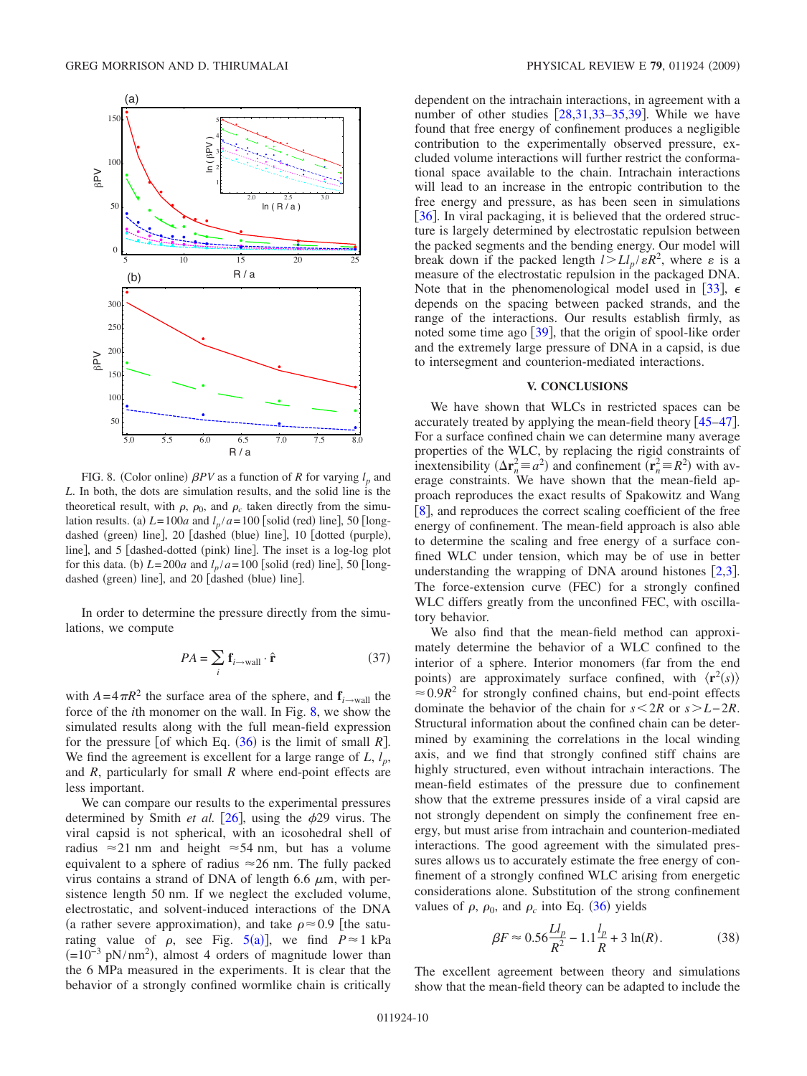<span id="page-9-1"></span>

FIG. 8. (Color online)  $\beta PV$  as a function of *R* for varying  $l_p$  and *L*. In both, the dots are simulation results, and the solid line is the theoretical result, with  $\rho$ ,  $\rho_0$ , and  $\rho_c$  taken directly from the simulation results. (a)  $L = 100a$  and  $l_p/a = 100$  [solid (red) line], 50 [longdashed (green) line], 20 [dashed (blue) line], 10 [dotted (purple), line], and 5 [dashed-dotted (pink) line]. The inset is a log-log plot for this data. (b)  $L = 200a$  and  $l_p/a = 100$  [solid (red) line], 50 [longdashed (green) line], and 20 [dashed (blue) line].

In order to determine the pressure directly from the simulations, we compute

$$
PA = \sum_{i} \mathbf{f}_{i \to \text{wall}} \cdot \hat{\mathbf{r}} \tag{37}
$$

<span id="page-9-0"></span>with  $A = 4\pi R^2$  the surface area of the sphere, and  $\mathbf{f}_{i \to \text{wall}}$  the force of the *i*th monomer on the wall. In Fig. [8,](#page-9-1) we show the simulated results along with the full mean-field expression for the pressure [of which Eq.  $(36)$  $(36)$  $(36)$  is the limit of small *R*]. We find the agreement is excellent for a large range of  $L$ ,  $l_p$ , and *R*, particularly for small *R* where end-point effects are less important.

We can compare our results to the experimental pressures determined by Smith *et al.* [[26](#page-13-20)], using the  $\phi$ 29 virus. The viral capsid is not spherical, with an icosohedral shell of radius  $\approx$  21 nm and height  $\approx$  54 nm, but has a volume equivalent to a sphere of radius  $\approx$  26 nm. The fully packed virus contains a strand of DNA of length 6.6  $\mu$ m, with persistence length 50 nm. If we neglect the excluded volume, electrostatic, and solvent-induced interactions of the DNA (a rather severe approximation), and take  $\rho \approx 0.9$  [the saturating value of  $\rho$ , see Fig. [5](#page-7-0)(a)], we find  $P \approx 1$  kPa  $(=10^{-3} \text{ pN/nm}^2)$ , almost 4 orders of magnitude lower than the 6 MPa measured in the experiments. It is clear that the behavior of a strongly confined wormlike chain is critically dependent on the intrachain interactions, in agreement with a number of other studies  $[28,31,33-35,39]$  $[28,31,33-35,39]$  $[28,31,33-35,39]$  $[28,31,33-35,39]$  $[28,31,33-35,39]$  $[28,31,33-35,39]$  $[28,31,33-35,39]$ . While we have found that free energy of confinement produces a negligible contribution to the experimentally observed pressure, excluded volume interactions will further restrict the conformational space available to the chain. Intrachain interactions will lead to an increase in the entropic contribution to the free energy and pressure, as has been seen in simulations [ $36$ ]. In viral packaging, it is believed that the ordered structure is largely determined by electrostatic repulsion between the packed segments and the bending energy. Our model will break down if the packed length  $l > L l_p / \varepsilon R^2$ , where  $\varepsilon$  is a measure of the electrostatic repulsion in the packaged DNA. Note that in the phenomenological model used in [[33](#page-13-24)],  $\epsilon$ depends on the spacing between packed strands, and the range of the interactions. Our results establish firmly, as noted some time ago  $[39]$  $[39]$  $[39]$ , that the origin of spool-like order and the extremely large pressure of DNA in a capsid, is due to intersegment and counterion-mediated interactions.

## **V. CONCLUSIONS**

We have shown that WLCs in restricted spaces can be accurately treated by applying the mean-field theory  $[45-47]$  $[45-47]$  $[45-47]$ . For a surface confined chain we can determine many average properties of the WLC, by replacing the rigid constraints of inextensibility  $(\Delta \mathbf{r}_n^2 \equiv a^2)$  and confinement  $(\mathbf{r}_n^2 \equiv R^2)$  with average constraints. We have shown that the mean-field approach reproduces the exact results of Spakowitz and Wang [[8](#page-13-5)], and reproduces the correct scaling coefficient of the free energy of confinement. The mean-field approach is also able to determine the scaling and free energy of a surface confined WLC under tension, which may be of use in better understanding the wrapping of DNA around histones  $[2,3]$  $[2,3]$  $[2,3]$  $[2,3]$ . The force-extension curve (FEC) for a strongly confined WLC differs greatly from the unconfined FEC, with oscillatory behavior.

We also find that the mean-field method can approximately determine the behavior of a WLC confined to the interior of a sphere. Interior monomers (far from the end points) are approximately surface confined, with  $\langle \mathbf{r}^2(s) \rangle$  $\approx 0.9R^2$  for strongly confined chains, but end-point effects dominate the behavior of the chain for *s*2*R* or *sL*− 2*R*. Structural information about the confined chain can be determined by examining the correlations in the local winding axis, and we find that strongly confined stiff chains are highly structured, even without intrachain interactions. The mean-field estimates of the pressure due to confinement show that the extreme pressures inside of a viral capsid are not strongly dependent on simply the confinement free energy, but must arise from intrachain and counterion-mediated interactions. The good agreement with the simulated pressures allows us to accurately estimate the free energy of confinement of a strongly confined WLC arising from energetic considerations alone. Substitution of the strong confinement values of  $\rho$ ,  $\rho_0$ , and  $\rho_c$  into Eq. ([36](#page-8-2)) yields

$$
\beta F \approx 0.56 \frac{Ll_p}{R^2} - 1.1 \frac{l_p}{R} + 3 \ln(R). \tag{38}
$$

The excellent agreement between theory and simulations show that the mean-field theory can be adapted to include the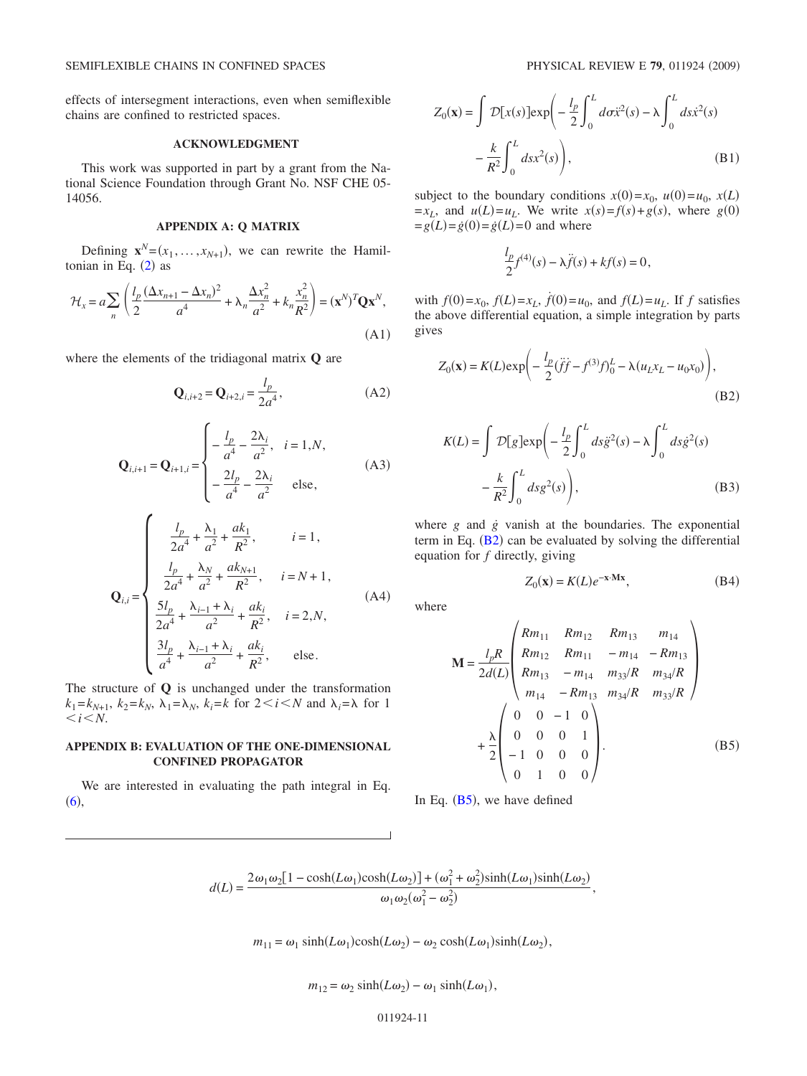effects of intersegment interactions, even when semiflexible chains are confined to restricted spaces.

### **ACKNOWLEDGMENT**

This work was supported in part by a grant from the National Science Foundation through Grant No. NSF CHE 05- 14056.

# **APPENDIX A: Q MATRIX**

Defining  $\mathbf{x}^N = (x_1, \dots, x_{N+1})$ , we can rewrite the Hamiltonian in Eq.  $(2)$  $(2)$  $(2)$  as

$$
\mathcal{H}_x = a \sum_n \left( \frac{l_p}{2} \frac{(\Delta x_{n+1} - \Delta x_n)^2}{a^4} + \lambda_n \frac{\Delta x_n^2}{a^2} + k_n \frac{x_n^2}{R^2} \right) = (\mathbf{x}^N)^T \mathbf{Q} \mathbf{x}^N,
$$
\n(A1)

<span id="page-10-0"></span>where the elements of the tridiagonal matrix **Q** are

$$
\mathbf{Q}_{i,i+2} = \mathbf{Q}_{i+2,i} = \frac{l_p}{2a^4},\tag{A2}
$$

$$
\mathbf{Q}_{i,i+1} = \mathbf{Q}_{i+1,i} = \begin{cases} -\frac{l_p}{a^4} - \frac{2\lambda_i}{a^2}, & i = 1, N, \\ -\frac{2l_p}{a^4} - \frac{2\lambda_i}{a^2} & \text{else,} \end{cases}
$$
(A3)

<span id="page-10-1"></span>
$$
\mathbf{Q}_{i,i} = \begin{cases}\n\frac{l_p}{2a^4} + \frac{\lambda_1}{a^2} + \frac{ak_1}{R^2}, & i = 1, \\
\frac{l_p}{2a^4} + \frac{\lambda_N}{a^2} + \frac{ak_{N+1}}{R^2}, & i = N+1,\n\end{cases}
$$
\n(A4)\n
$$
\frac{5l_p}{2a^4} + \frac{\lambda_{i-1} + \lambda_i}{a^2} + \frac{ak_i}{R^2}, \quad i = 2, N,
$$
\n(A4)\n
$$
\frac{3l_p}{a^4} + \frac{\lambda_{i-1} + \lambda_i}{a^2} + \frac{ak_i}{R^2}, \quad \text{else.}
$$

The structure of **Q** is unchanged under the transformation  $k_1 = k_{N+1}$ ,  $k_2 = k_N$ ,  $\lambda_1 = \lambda_N$ ,  $k_i = k$  for  $2 \le i \le N$  and  $\lambda_i = \lambda$  for 1 *.* 

## **APPENDIX B: EVALUATION OF THE ONE-DIMENSIONAL CONFINED PROPAGATOR**

We are interested in evaluating the path integral in Eq.  $(6),$  $(6),$  $(6),$ 

$$
Z_0(\mathbf{x}) = \int \mathcal{D}[x(s)] \exp\left(-\frac{l_p}{2} \int_0^L d\sigma \ddot{x}^2(s) - \lambda \int_0^L ds \dot{x}^2(s) -\frac{k}{R^2} \int_0^L ds \dot{x}^2(s)\right),\tag{B1}
$$

subject to the boundary conditions  $x(0) = x_0$ ,  $u(0) = u_0$ ,  $x(L)$  $=x_L$ , and  $u(L)=u_L$ . We write  $x(s)=f(s)+g(s)$ , where  $g(0)$  $=g(L)=\dot{g}(0)=\dot{g}(L)=0$  and where

$$
\frac{l_p}{2}f^{(4)}(s) - \lambda \ddot{f}(s) + kf(s) = 0,
$$

with  $f(0)=x_0$ ,  $f(L)=x_L$ ,  $f(0)=u_0$ , and  $f(L)=u_L$ . If *f* satisfies the above differential equation, a simple integration by parts gives

<span id="page-10-3"></span>
$$
Z_0(\mathbf{x}) = K(L) \exp\left(-\frac{l_p}{2} (\ddot{f}\dot{f} - f^{(3)}f)_0^L - \lambda (u_L x_L - u_0 x_0)\right),\tag{B2}
$$

<span id="page-10-4"></span>
$$
K(L) = \int \mathcal{D}[g] \exp\left(-\frac{l_p}{2} \int_0^L ds \ddot{g}^2(s) - \lambda \int_0^L ds \dot{g}^2(s) -\frac{k}{R^2} \int_0^L ds g^2(s)\right),
$$
 (B3)

where *g* and *g* vanish at the boundaries. The exponential term in Eq.  $(B2)$  $(B2)$  $(B2)$  can be evaluated by solving the differential equation for *f* directly, giving

$$
Z_0(\mathbf{x}) = K(L)e^{-\mathbf{x} \cdot \mathbf{M}\mathbf{x}},
$$
 (B4)

where

<span id="page-10-2"></span>
$$
\mathbf{M} = \frac{l_p R}{2d(L)} \begin{pmatrix} Rm_{11} & Rm_{12} & Rm_{13} & m_{14} \\ Rm_{12} & Rm_{11} & -m_{14} & -Rm_{13} \\ Rm_{13} & -m_{14} & m_{33}/R & m_{34}/R \\ m_{14} & -Rm_{13} & m_{34}/R & m_{33}/R \end{pmatrix}
$$
  
+ 
$$
\frac{\lambda}{2} \begin{pmatrix} 0 & 0 & -1 & 0 \\ 0 & 0 & 0 & 1 \\ -1 & 0 & 0 & 0 \\ 0 & 1 & 0 & 0 \end{pmatrix}.
$$
 (B5)

In Eq.  $(B5)$  $(B5)$  $(B5)$ , we have defined

,

$$
d(L) = \frac{2\omega_1\omega_2[1-\cosh(L\omega_1)\cosh(L\omega_2)] + (\omega_1^2 + \omega_2^2)\sinh(L\omega_1)\sinh(L\omega_2)}{\omega_1\omega_2(\omega_1^2 - \omega_2^2)},
$$

 $m_{11} = \omega_1 \sinh(L\omega_1)\cosh(L\omega_2) - \omega_2 \cosh(L\omega_1)\sinh(L\omega_2),$ 

$$
m_{12} = \omega_2 \sinh(L\omega_2) - \omega_1 \sinh(L\omega_1)
$$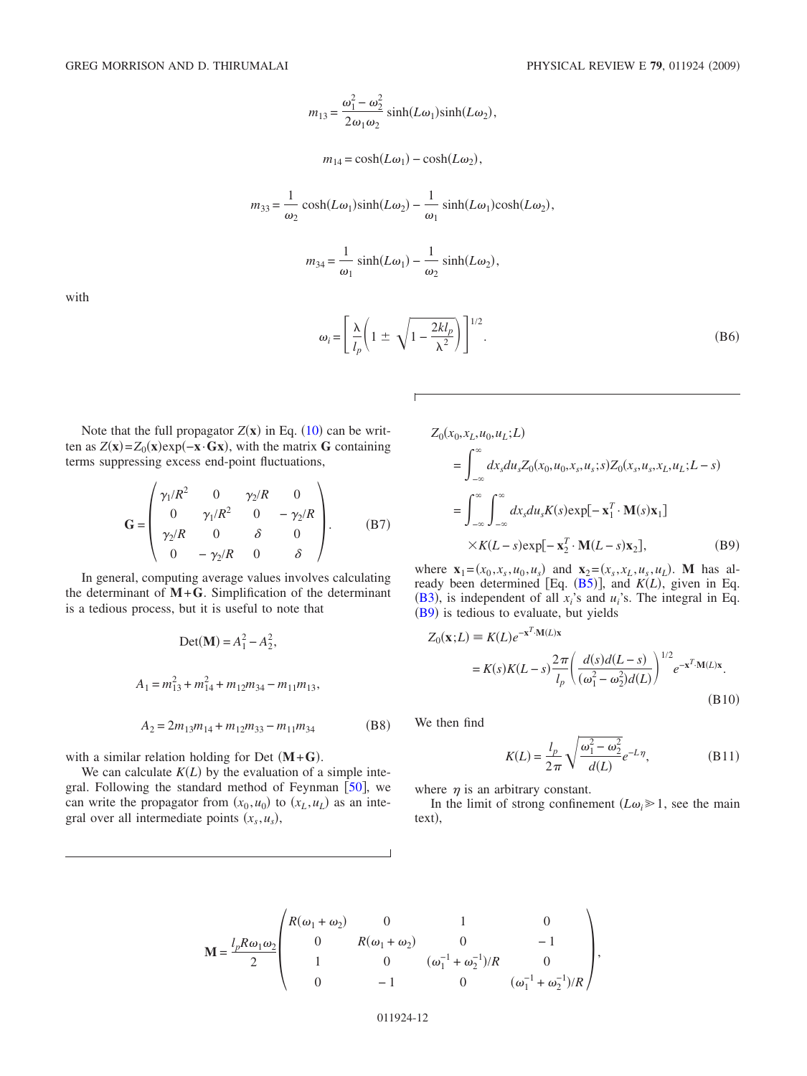$$
m_{13} = \frac{\omega_1^2 - \omega_2^2}{2\omega_1\omega_2} \sinh(L\omega_1)\sinh(L\omega_2),
$$

$$
m_{14} = \cosh(L\omega_1) - \cosh(L\omega_2),
$$

$$
m_{33} = \frac{1}{\omega_2} \cosh(L\omega_1)\sinh(L\omega_2) - \frac{1}{\omega_1} \sinh(L\omega_1)\cosh(L\omega_2),
$$

$$
m_{34} = \frac{1}{\omega_1} \sinh(L\omega_1) - \frac{1}{\omega_2} \sinh(L\omega_2),
$$

with

$$
\omega_i = \left[ \frac{\lambda}{l_p} \left( 1 \pm \sqrt{1 - \frac{2kl_p}{\lambda^2}} \right) \right]^{1/2} . \tag{B6}
$$

Note that the full propagator  $Z(x)$  in Eq. ([10](#page-2-8)) can be written as  $Z(\mathbf{x}) = Z_0(\mathbf{x})e^{-(\mathbf{x} \cdot \mathbf{G} \mathbf{x})}$ , with the matrix **G** containing terms suppressing excess end-point fluctuations,

 $\mathbb{R}^2$ 

$$
\mathbf{G} = \begin{pmatrix} \gamma_1/R^2 & 0 & \gamma_2/R & 0 \\ 0 & \gamma_1/R^2 & 0 & -\gamma_2/R \\ \gamma_2/R & 0 & \delta & 0 \\ 0 & -\gamma_2/R & 0 & \delta \end{pmatrix}.
$$
 (B7)

In general, computing average values involves calculating the determinant of  $M + G$ . Simplification of the determinant is a tedious process, but it is useful to note that

$$
Det(\mathbf{M}) = A_1^2 - A_2^2,
$$
  
\n
$$
A_1 = m_{13}^2 + m_{14}^2 + m_{12}m_{34} - m_{11}m_{13},
$$
  
\n
$$
A_2 = 2m_{13}m_{14} + m_{12}m_{33} - m_{11}m_{34}
$$
 (B8)

with a similar relation holding for Det  $(M+G)$ .

We can calculate  $K(L)$  by the evaluation of a simple integral. Following the standard method of Feynman  $[50]$  $[50]$  $[50]$ , we can write the propagator from  $(x_0, u_0)$  to  $(x_L, u_L)$  as an integral over all intermediate points  $(x_s, u_s)$ ,

<span id="page-11-1"></span> $Z_0(x_0, x_L, u_0, u_L; L)$ 

$$
= \int_{-\infty}^{\infty} dx_s du_s Z_0(x_0, u_0, x_s, u_s; s) Z_0(x_s, u_s, x_L, u_L; L - s)
$$
  

$$
= \int_{-\infty}^{\infty} \int_{-\infty}^{\infty} dx_s du_s K(s) \exp[-\mathbf{x}_1^T \cdot \mathbf{M}(s)\mathbf{x}_1]
$$
  

$$
\times K(L - s) \exp[-\mathbf{x}_2^T \cdot \mathbf{M}(L - s)\mathbf{x}_2],
$$
 (B9)

where  $\mathbf{x}_1 = (x_0, x_s, u_0, u_s)$  and  $\mathbf{x}_2 = (x_s, x_L, u_s, u_L)$ . M has already been determined [Eq.  $(B5)$  $(B5)$  $(B5)$ ], and  $K(L)$ , given in Eq. ([B3](#page-10-4)), is independent of all  $x_i$ 's and  $u_i$ 's. The integral in Eq. ([B9](#page-11-1)) is tedious to evaluate, but yields

$$
Z_0(\mathbf{x};L) \equiv K(L)e^{-\mathbf{x}^T \cdot \mathbf{M}(L)\mathbf{x}}
$$
  
=  $K(s)K(L-s)\frac{2\pi}{l_p} \left(\frac{d(s)d(L-s)}{(\omega_1^2 - \omega_2^2)d(L)}\right)^{1/2} e^{-\mathbf{x}^T \cdot \mathbf{M}(L)\mathbf{x}}$ .  
(B10)

We then find

$$
K(L) = \frac{l_p}{2\pi} \sqrt{\frac{\omega_1^2 - \omega_2^2}{d(L)}} e^{-L\eta},
$$
 (B11)

<span id="page-11-0"></span>where  $\eta$  is an arbitrary constant.

In the limit of strong confinement  $(L\omega_i \geq 1)$ , see the main text),

$$
\mathbf{M} = \frac{l_p R \omega_1 \omega_2}{2} \begin{pmatrix} R(\omega_1 + \omega_2) & 0 & 1 & 0 \\ 0 & R(\omega_1 + \omega_2) & 0 & -1 \\ 1 & 0 & (\omega_1^{-1} + \omega_2^{-1})/R & 0 \\ 0 & -1 & 0 & (\omega_1^{-1} + \omega_2^{-1})/R \end{pmatrix},
$$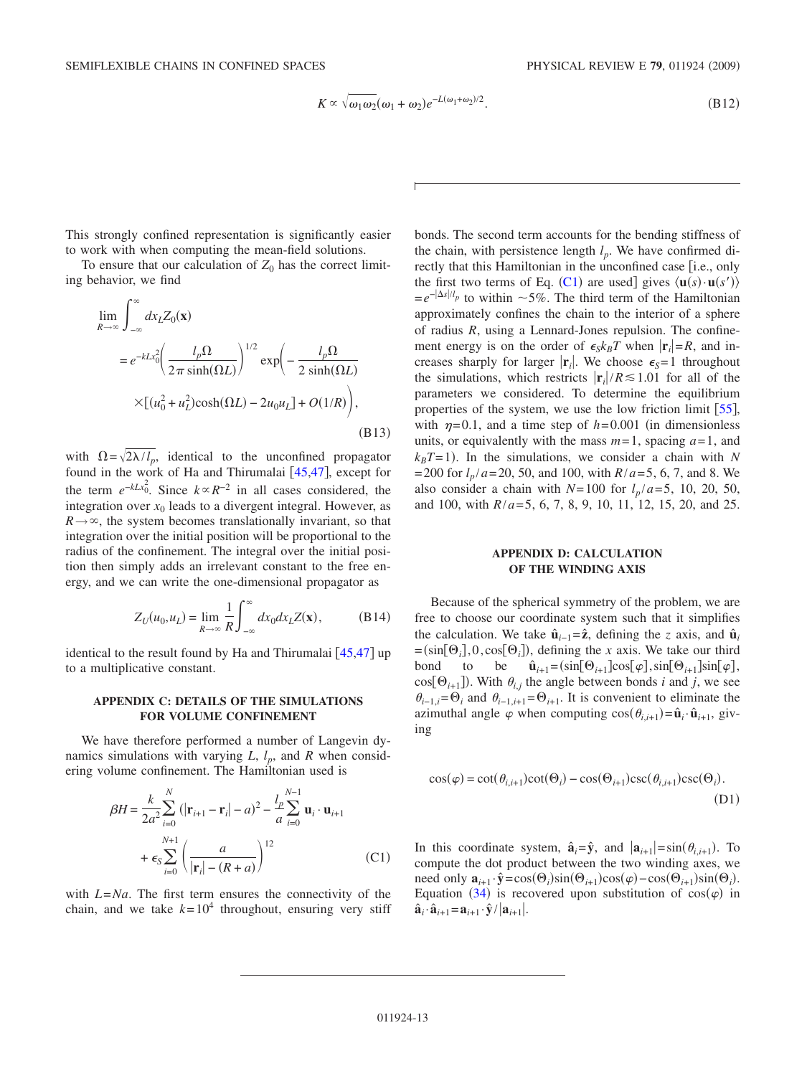$$
K \propto \sqrt{\omega_1 \omega_2} (\omega_1 + \omega_2) e^{-L(\omega_1 + \omega_2)/2}.
$$
 (B12)

This strongly confined representation is significantly easier to work with when computing the mean-field solutions.

To ensure that our calculation of  $Z_0$  has the correct limiting behavior, we find

$$
\lim_{R \to \infty} \int_{-\infty}^{\infty} dx_L Z_0(\mathbf{x})
$$
\n
$$
= e^{-kLx_0^2} \left( \frac{l_p \Omega}{2\pi \sinh(\Omega L)} \right)^{1/2} \exp \left( -\frac{l_p \Omega}{2 \sinh(\Omega L)} \right)
$$
\n
$$
\times \left[ (u_0^2 + u_L^2) \cosh(\Omega L) - 2u_0 u_L \right] + O(1/R) \bigg),
$$
\n(B13)

with  $\Omega = \sqrt{2\lambda/l_p}$ , identical to the unconfined propagator found in the work of Ha and Thirumalai  $[45,47]$  $[45,47]$  $[45,47]$  $[45,47]$ , except for the term  $e^{-kLx_0^2}$ . Since  $k \propto R^{-2}$  in all cases considered, the integration over  $x_0$  leads to a divergent integral. However, as  $R \rightarrow \infty$ , the system becomes translationally invariant, so that integration over the initial position will be proportional to the radius of the confinement. The integral over the initial position then simply adds an irrelevant constant to the free energy, and we can write the one-dimensional propagator as

$$
Z_U(u_0, u_L) = \lim_{R \to \infty} \frac{1}{R} \int_{-\infty}^{\infty} dx_0 dx_L Z(\mathbf{x}), \quad (B14)
$$

identical to the result found by Ha and Thirumalai  $[45,47]$  $[45,47]$  $[45,47]$  $[45,47]$  up to a multiplicative constant.

### **APPENDIX C: DETAILS OF THE SIMULATIONS FOR VOLUME CONFINEMENT**

We have therefore performed a number of Langevin dynamics simulations with varying  $L$ ,  $l_p$ , and  $R$  when considering volume confinement. The Hamiltonian used is

<span id="page-12-0"></span>
$$
\beta H = \frac{k}{2a^2} \sum_{i=0}^{N} (|\mathbf{r}_{i+1} - \mathbf{r}_i| - a)^2 - \frac{l_p}{a} \sum_{i=0}^{N-1} \mathbf{u}_i \cdot \mathbf{u}_{i+1} + \epsilon_S \sum_{i=0}^{N+1} \left(\frac{a}{|\mathbf{r}_i| - (R+a)}\right)^{12}
$$
(C1)

with *L*=*Na*. The first term ensures the connectivity of the chain, and we take  $k = 10^4$  throughout, ensuring very stiff bonds. The second term accounts for the bending stiffness of the chain, with persistence length  $l_n$ . We have confirmed directly that this Hamiltonian in the unconfined case [i.e., only the first two terms of Eq. ([C1](#page-12-0)) are used] gives  $\langle \mathbf{u}(s) \cdot \mathbf{u}(s') \rangle$  $= e^{-|\Delta s|/l_p}$  to within ~5%. The third term of the Hamiltonian approximately confines the chain to the interior of a sphere of radius *R*, using a Lennard-Jones repulsion. The confinement energy is on the order of  $\epsilon_S k_B T$  when  $|\mathbf{r}_i|=R$ , and increases sharply for larger  $|\mathbf{r}_i|$ . We choose  $\epsilon_s = 1$  throughout the simulations, which restricts  $|\mathbf{r}_i|/R \leq 1.01$  for all of the parameters we considered. To determine the equilibrium properties of the system, we use the low friction limit  $[55]$  $[55]$  $[55]$ , with  $\eta$ =0.1, and a time step of *h*=0.001 (in dimensionless units, or equivalently with the mass  $m=1$ , spacing  $a=1$ , and  $k_B T = 1$ ). In the simulations, we consider a chain with *N*  $= 200$  for  $l_p/a = 20$ , 50, and 100, with  $R/a = 5$ , 6, 7, and 8. We also consider a chain with  $N=100$  for  $l_p/a=5$ , 10, 20, 50, and 100, with *R*/*a*= 5, 6, 7, 8, 9, 10, 11, 12, 15, 20, and 25.

# **APPENDIX D: CALCULATION OF THE WINDING AXIS**

Because of the spherical symmetry of the problem, we are free to choose our coordinate system such that it simplifies the calculation. We take  $\hat{\mathbf{u}}_{i-1} = \hat{\mathbf{z}}$ , defining the *z* axis, and  $\hat{\mathbf{u}}_i$  $=(\sin[\Theta_i], 0, \cos[\Theta_i])$ , defining the *x* axis. We take our third bond to be  $\hat{\mathbf{u}}_{i+1} = (\sin[\Theta_{i+1}]\cos[\varphi], \sin[\Theta_{i+1}]\sin[\varphi],$  $cos[\Theta_{i+1}]$ ). With  $\theta_{i,j}$  the angle between bonds *i* and *j*, we see  $\theta_{i-1,i} = \Theta_i$  and  $\theta_{i-1,i+1} = \Theta_{i+1}$ . It is convenient to eliminate the azimuthal angle  $\varphi$  when computing  $\cos(\theta_{i,i+1}) = \hat{\mathbf{u}}_i \cdot \hat{\mathbf{u}}_{i+1}$ , giving

$$
\cos(\varphi) = \cot(\theta_{i,i+1})\cot(\Theta_i) - \cos(\Theta_{i+1})\csc(\theta_{i,i+1})\csc(\Theta_i). \tag{D1}
$$

In this coordinate system,  $\hat{\mathbf{a}}_i = \hat{\mathbf{y}}$ , and  $|\mathbf{a}_{i+1}| = \sin(\theta_{i,i+1})$ . To compute the dot product between the two winding axes, we need only  $\mathbf{a}_{i+1} \cdot \hat{\mathbf{y}} = \cos(\Theta_i) \sin(\Theta_{i+1}) \cos(\varphi) - \cos(\Theta_{i+1}) \sin(\Theta_i)$ . Equation ([34](#page-8-0)) is recovered upon substitution of  $cos(\varphi)$  in  $\hat{\mathbf{a}}_i \cdot \hat{\mathbf{a}}_{i+1} = \mathbf{a}_{i+1} \cdot \hat{\mathbf{y}} / |\mathbf{a}_{i+1}|.$